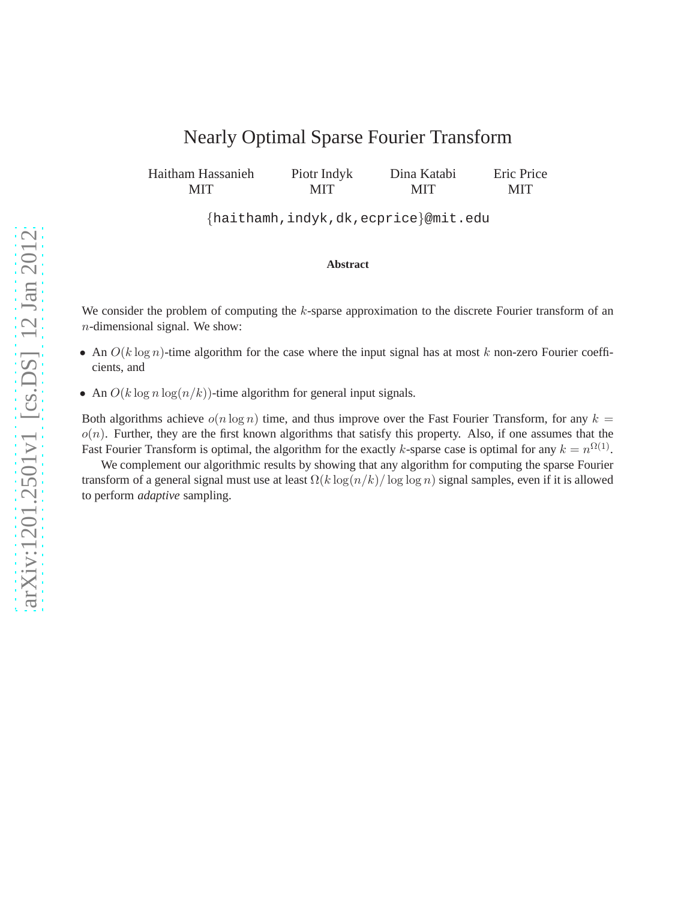# Nearly Optimal Sparse Fourier Transform

Haitham Hassanieh MIT Piotr Indyk MIT Dina Katabi MIT Eric Price MIT

{haithamh,indyk,dk,ecprice}@mit.edu

#### **Abstract**

We consider the problem of computing the k-sparse approximation to the discrete Fourier transform of an n-dimensional signal. We show:

- An  $O(k \log n)$ -time algorithm for the case where the input signal has at most k non-zero Fourier coefficients, and
- An  $O(k \log n \log(n/k))$ -time algorithm for general input signals.

Both algorithms achieve  $o(n \log n)$  time, and thus improve over the Fast Fourier Transform, for any  $k =$  $o(n)$ . Further, they are the first known algorithms that satisfy this property. Also, if one assumes that the Fast Fourier Transform is optimal, the algorithm for the exactly k-sparse case is optimal for any  $k = n^{\Omega(1)}$ .

We complement our algorithmic results by showing that any algorithm for computing the sparse Fourier transform of a general signal must use at least  $\Omega(k \log(n/k) / \log \log n)$  signal samples, even if it is allowed to perform *adaptive* sampling.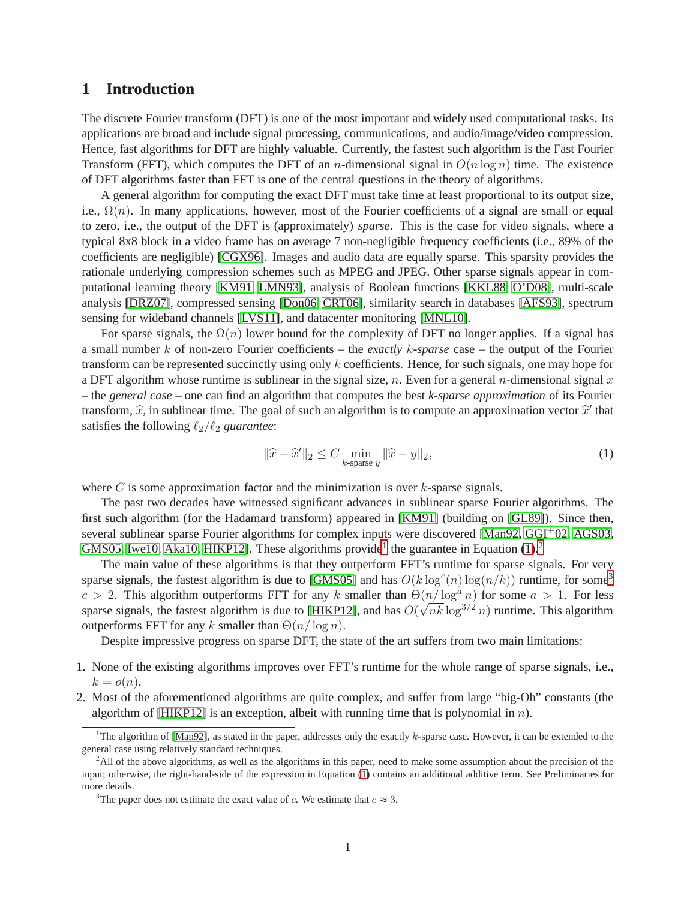## **1 Introduction**

The discrete Fourier transform (DFT) is one of the most important and widely used computational tasks. Its applications are broad and include signal processing, communications, and audio/image/video compression. Hence, fast algorithms for DFT are highly valuable. Currently, the fastest such algorithm is the Fast Fourier Transform (FFT), which computes the DFT of an *n*-dimensional signal in  $O(n \log n)$  time. The existence of DFT algorithms faster than FFT is one of the central questions in the theory of algorithms.

A general algorithm for computing the exact DFT must take time at least proportional to its output size, i.e.,  $\Omega(n)$ . In many applications, however, most of the Fourier coefficients of a signal are small or equal to zero, i.e., the output of the DFT is (approximately) *sparse*. This is the case for video signals, where a typical 8x8 block in a video frame has on average 7 non-negligible frequency coefficients (i.e., 89% of the coefficients are negligible) [\[CGX96\]](#page-25-0). Images and audio data are equally sparse. This sparsity provides the rationale underlying compression schemes such as MPEG and JPEG. Other sparse signals appear in computational learning theory [\[KM91,](#page-26-0) [LMN93\]](#page-26-1), analysis of Boolean functions [\[KKL88,](#page-26-2) [O'D08\]](#page-26-3), multi-scale analysis [\[DRZ07\]](#page-25-1), compressed sensing [\[Don06,](#page-25-2) [CRT06\]](#page-25-3), similarity search in databases [\[AFS93\]](#page-25-4), spectrum sensing for wideband channels [\[LVS11\]](#page-26-4), and datacenter monitoring [\[MNL10\]](#page-26-5).

For sparse signals, the  $\Omega(n)$  lower bound for the complexity of DFT no longer applies. If a signal has a small number k of non-zero Fourier coefficients – the *exactly* k*-sparse* case – the output of the Fourier transform can be represented succinctly using only k coefficients. Hence, for such signals, one may hope for a DFT algorithm whose runtime is sublinear in the signal size, n. Even for a general n-dimensional signal x – the *general case* – one can find an algorithm that computes the best *k-sparse approximation* of its Fourier transform,  $\hat{x}$ , in sublinear time. The goal of such an algorithm is to compute an approximation vector  $\hat{x}'$  that satisfies the following  $\ell_2/\ell_2$  *guarantee*:

<span id="page-1-1"></span>
$$
\|\widehat{x} - \widehat{x}'\|_2 \le C \min_{k \text{-sparse } y} \|\widehat{x} - y\|_2,\tag{1}
$$

where  $C$  is some approximation factor and the minimization is over  $k$ -sparse signals.

The past two decades have witnessed significant advances in sublinear sparse Fourier algorithms. The first such algorithm (for the Hadamard transform) appeared in [\[KM91\]](#page-26-0) (building on [\[GL89\]](#page-26-6)). Since then, several sublinear sparse Fourier algorithms for complex inputs were discovered [\[Man92,](#page-26-7) [GGI](#page-26-8)+02, [AGS03,](#page-25-5) [GMS05,](#page-26-9) [Iwe10,](#page-26-10) [Aka10,](#page-25-6) [HIKP12\]](#page-26-11). These algorithms provide<sup>[1](#page-1-0)</sup> the guarantee in Equation  $(1)$ .<sup>[2](#page-1-2)</sup>

The main value of these algorithms is that they outperform FFT's runtime for sparse signals. For very sparse signals, the fastest algorithm is due to [\[GMS05\]](#page-26-9) and has  $O(k \log^c(n) \log(n/k))$  runtime, for some<sup>[3](#page-1-3)</sup>  $c > 2$ . This algorithm outperforms FFT for any k smaller than  $\Theta(n/\log^a n)$  for some  $a > 1$ . For less sparse signals, the fastest algorithm is due to [\[HIKP12\]](#page-26-11), and has  $O(\sqrt{nk} \log^{3/2} n)$  runtime. This algorithm outperforms FFT for any k smaller than  $\Theta(n/\log n)$ .

Despite impressive progress on sparse DFT, the state of the art suffers from two main limitations:

- 1. None of the existing algorithms improves over FFT's runtime for the whole range of sparse signals, i.e.,  $k = o(n)$ .
- 2. Most of the aforementioned algorithms are quite complex, and suffer from large "big-Oh" constants (the algorithm of  $[HIKP12]$  is an exception, albeit with running time that is polynomial in n).

<span id="page-1-0"></span><sup>&</sup>lt;sup>1</sup>The algorithm of [\[Man92\]](#page-26-7), as stated in the paper, addresses only the exactly  $k$ -sparse case. However, it can be extended to the general case using relatively standard techniques.

<span id="page-1-2"></span><sup>&</sup>lt;sup>2</sup>All of the above algorithms, as well as the algorithms in this paper, need to make some assumption about the precision of the input; otherwise, the right-hand-side of the expression in Equation [\(1\)](#page-1-1) contains an additional additive term. See Preliminaries for more details.

<span id="page-1-3"></span><sup>&</sup>lt;sup>3</sup>The paper does not estimate the exact value of c. We estimate that  $c \approx 3$ .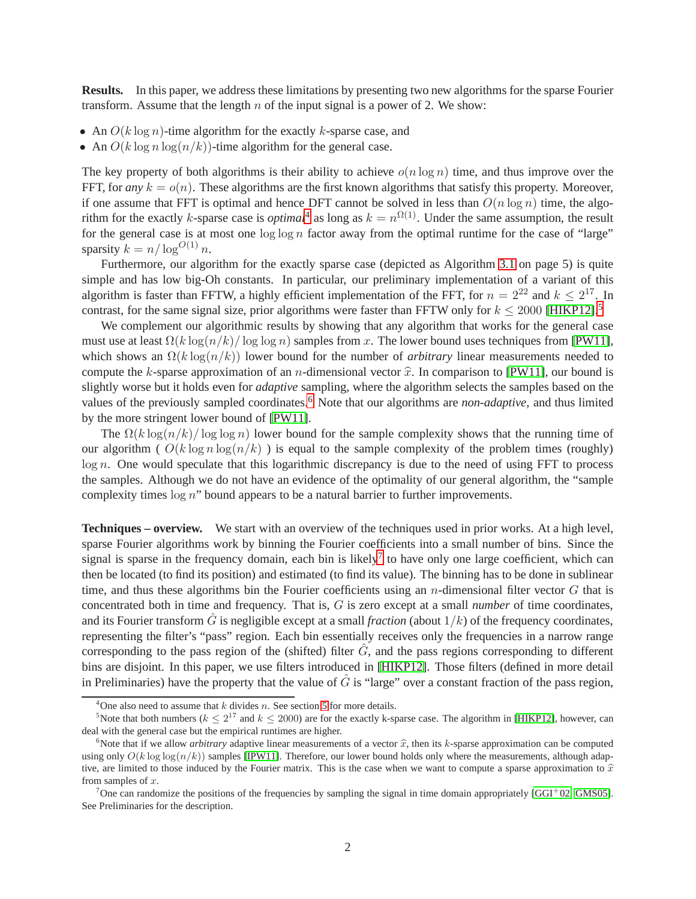**Results.** In this paper, we address these limitations by presenting two new algorithms for the sparse Fourier transform. Assume that the length  $n$  of the input signal is a power of 2. We show:

- An  $O(k \log n)$ -time algorithm for the exactly k-sparse case, and
- An  $O(k \log n \log(n/k))$ -time algorithm for the general case.

The key property of both algorithms is their ability to achieve  $o(n \log n)$  time, and thus improve over the FFT, for *any*  $k = o(n)$ . These algorithms are the first known algorithms that satisfy this property. Moreover, if one assume that FFT is optimal and hence DFT cannot be solved in less than  $O(n \log n)$  time, the algorithm for the exactly k-sparse case is *optimal*<sup>[4](#page-2-0)</sup> as long as  $k = n^{\Omega(1)}$ . Under the same assumption, the result for the general case is at most one  $\log \log n$  factor away from the optimal runtime for the case of "large" sparsity  $k = n/\log^{O(1)} n$ .

Furthermore, our algorithm for the exactly sparse case (depicted as Algorithm [3.1](#page-6-0) on page 5) is quite simple and has low big-Oh constants. In particular, our preliminary implementation of a variant of this algorithm is faster than FFTW, a highly efficient implementation of the FFT, for  $n = 2^{22}$  and  $k \le 2^{17}$ . In contrast, for the same signal size, prior algorithms were faster than FFTW only for  $k \le 2000$  [\[HIKP12\]](#page-26-11).<sup>[5](#page-2-1)</sup>

We complement our algorithmic results by showing that any algorithm that works for the general case must use at least  $\Omega(k \log(n/k)/\log \log n)$  samples from x. The lower bound uses techniques from [\[PW11\]](#page-26-12), which shows an  $\Omega(k \log(n/k))$  lower bound for the number of *arbitrary* linear measurements needed to compute the k-sparse approximation of an n-dimensional vector  $\hat{x}$ . In comparison to [\[PW11\]](#page-26-12), our bound is slightly worse but it holds even for *adaptive* sampling, where the algorithm selects the samples based on the values of the previously sampled coordinates.[6](#page-2-2) Note that our algorithms are *non-adaptive*, and thus limited by the more stringent lower bound of [\[PW11\]](#page-26-12).

The  $\Omega(k \log(n/k)/\log \log n)$  lower bound for the sample complexity shows that the running time of our algorithm (  $O(k \log n \log(n/k)$  ) is equal to the sample complexity of the problem times (roughly) log n. One would speculate that this logarithmic discrepancy is due to the need of using FFT to process the samples. Although we do not have an evidence of the optimality of our general algorithm, the "sample complexity times  $\log n$ " bound appears to be a natural barrier to further improvements.

**Techniques – overview.** We start with an overview of the techniques used in prior works. At a high level, sparse Fourier algorithms work by binning the Fourier coefficients into a small number of bins. Since the signal is sparse in the frequency domain, each bin is likely<sup>[7](#page-2-3)</sup> to have only one large coefficient, which can then be located (to find its position) and estimated (to find its value). The binning has to be done in sublinear time, and thus these algorithms bin the Fourier coefficients using an *n*-dimensional filter vector  $G$  that is concentrated both in time and frequency. That is, G is zero except at a small *number* of time coordinates, and its Fourier transform G is negligible except at a small *fraction* (about  $1/k$ ) of the frequency coordinates, representing the filter's "pass" region. Each bin essentially receives only the frequencies in a narrow range corresponding to the pass region of the (shifted) filter  $\hat{G}$ , and the pass regions corresponding to different bins are disjoint. In this paper, we use filters introduced in [\[HIKP12\]](#page-26-11). Those filters (defined in more detail in Preliminaries) have the property that the value of  $\hat{G}$  is "large" over a constant fraction of the pass region,

<span id="page-2-0"></span><sup>&</sup>lt;sup>4</sup>One also need to assume that  $k$  divides  $n$ . See section [5](#page-19-0) for more details.

<span id="page-2-1"></span><sup>&</sup>lt;sup>5</sup>Note that both numbers ( $k \le 2^{17}$  and  $k \le 2000$ ) are for the exactly k-sparse case. The algorithm in [\[HIKP12\]](#page-26-11), however, can deal with the general case but the empirical runtimes are higher.

<span id="page-2-2"></span><sup>&</sup>lt;sup>6</sup>Note that if we allow *arbitrary* adaptive linear measurements of a vector  $\hat{x}$ , then its k-sparse approximation can be computed using only  $O(k \log \log (n/k))$  samples [\[IPW11\]](#page-26-13). Therefore, our lower bound holds only where the measurements, although adaptive, are limited to those induced by the Fourier matrix. This is the case when we want to compute a sparse approximation to  $\hat{x}$ from samples of  $x$ .

<span id="page-2-3"></span><sup>&</sup>lt;sup>7</sup>One can randomize the positions of the frequencies by sampling the signal in time domain appropriately [\[GGI](#page-26-8)+02, [GMS05\]](#page-26-9). See Preliminaries for the description.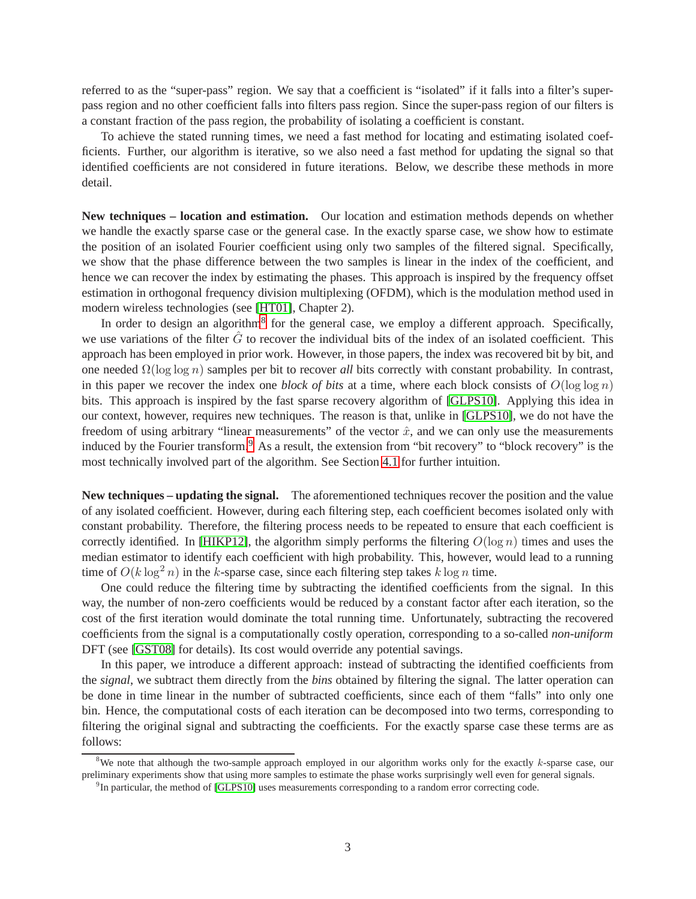referred to as the "super-pass" region. We say that a coefficient is "isolated" if it falls into a filter's superpass region and no other coefficient falls into filters pass region. Since the super-pass region of our filters is a constant fraction of the pass region, the probability of isolating a coefficient is constant.

To achieve the stated running times, we need a fast method for locating and estimating isolated coefficients. Further, our algorithm is iterative, so we also need a fast method for updating the signal so that identified coefficients are not considered in future iterations. Below, we describe these methods in more detail.

**New techniques – location and estimation.** Our location and estimation methods depends on whether we handle the exactly sparse case or the general case. In the exactly sparse case, we show how to estimate the position of an isolated Fourier coefficient using only two samples of the filtered signal. Specifically, we show that the phase difference between the two samples is linear in the index of the coefficient, and hence we can recover the index by estimating the phases. This approach is inspired by the frequency offset estimation in orthogonal frequency division multiplexing (OFDM), which is the modulation method used in modern wireless technologies (see [\[HT01\]](#page-26-14), Chapter 2).

In order to design an algorithm<sup>[8](#page-3-0)</sup> for the general case, we employ a different approach. Specifically, we use variations of the filter  $\hat{G}$  to recover the individual bits of the index of an isolated coefficient. This approach has been employed in prior work. However, in those papers, the index was recovered bit by bit, and one needed Ω(log log n) samples per bit to recover *all* bits correctly with constant probability. In contrast, in this paper we recover the index one *block of bits* at a time, where each block consists of  $O(\log \log n)$ bits. This approach is inspired by the fast sparse recovery algorithm of [\[GLPS10\]](#page-26-15). Applying this idea in our context, however, requires new techniques. The reason is that, unlike in [\[GLPS10\]](#page-26-15), we do not have the freedom of using arbitrary "linear measurements" of the vector  $\hat{x}$ , and we can only use the measurements induced by the Fourier transform.<sup>[9](#page-3-1)</sup> As a result, the extension from "bit recovery" to "block recovery" is the most technically involved part of the algorithm. See Section [4.1](#page-8-0) for further intuition.

**New techniques – updating the signal.** The aforementioned techniques recover the position and the value of any isolated coefficient. However, during each filtering step, each coefficient becomes isolated only with constant probability. Therefore, the filtering process needs to be repeated to ensure that each coefficient is correctly identified. In [\[HIKP12\]](#page-26-11), the algorithm simply performs the filtering  $O(\log n)$  times and uses the median estimator to identify each coefficient with high probability. This, however, would lead to a running time of  $O(k \log^2 n)$  in the k-sparse case, since each filtering step takes k log n time.

One could reduce the filtering time by subtracting the identified coefficients from the signal. In this way, the number of non-zero coefficients would be reduced by a constant factor after each iteration, so the cost of the first iteration would dominate the total running time. Unfortunately, subtracting the recovered coefficients from the signal is a computationally costly operation, corresponding to a so-called *non-uniform* DFT (see [\[GST08\]](#page-26-16) for details). Its cost would override any potential savings.

In this paper, we introduce a different approach: instead of subtracting the identified coefficients from the *signal*, we subtract them directly from the *bins* obtained by filtering the signal. The latter operation can be done in time linear in the number of subtracted coefficients, since each of them "falls" into only one bin. Hence, the computational costs of each iteration can be decomposed into two terms, corresponding to filtering the original signal and subtracting the coefficients. For the exactly sparse case these terms are as follows:

<sup>&</sup>lt;sup>8</sup>We note that although the two-sample approach employed in our algorithm works only for the exactly  $k$ -sparse case, our preliminary experiments show that using more samples to estimate the phase works surprisingly well even for general signals.

<span id="page-3-1"></span><span id="page-3-0"></span> $<sup>9</sup>$ In particular, the method of [\[GLPS10\]](#page-26-15) uses measurements corresponding to a random error correcting code.</sup>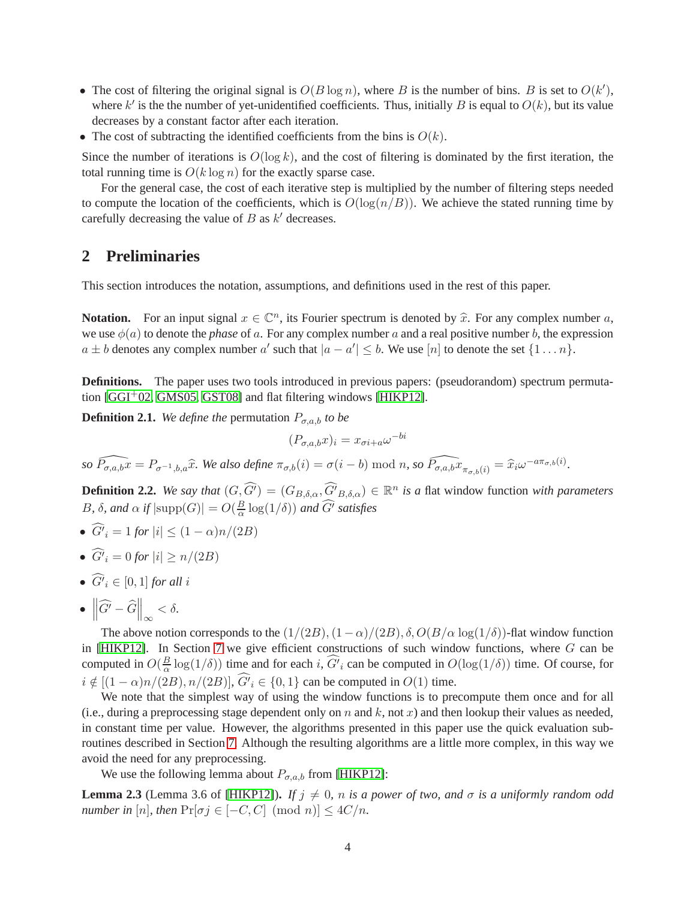- The cost of filtering the original signal is  $O(B \log n)$ , where B is the number of bins. B is set to  $O(k')$ , where  $k'$  is the the number of yet-unidentified coefficients. Thus, initially B is equal to  $O(k)$ , but its value decreases by a constant factor after each iteration.
- The cost of subtracting the identified coefficients from the bins is  $O(k)$ .

Since the number of iterations is  $O(\log k)$ , and the cost of filtering is dominated by the first iteration, the total running time is  $O(k \log n)$  for the exactly sparse case.

For the general case, the cost of each iterative step is multiplied by the number of filtering steps needed to compute the location of the coefficients, which is  $O(\log(n/B))$ . We achieve the stated running time by carefully decreasing the value of  $B$  as  $k'$  decreases.

## **2 Preliminaries**

This section introduces the notation, assumptions, and definitions used in the rest of this paper.

**Notation.** For an input signal  $x \in \mathbb{C}^n$ , its Fourier spectrum is denoted by  $\hat{x}$ . For any complex number a, we use  $\phi(a)$  to denote the *phase* of a. For any complex number a and a real positive number b, the expression  $a \pm b$  denotes any complex number  $a'$  such that  $|a - a'| \leq b$ . We use  $[n]$  to denote the set  $\{1 \dots n\}$ .

**Definitions.** The paper uses two tools introduced in previous papers: (pseudorandom) spectrum permutation [\[GGI](#page-26-8)+02, [GMS05,](#page-26-9) [GST08\]](#page-26-16) and flat filtering windows [\[HIKP12\]](#page-26-11).

**Definition 2.1.** *We define the* permutation  $P_{\sigma,a,b}$  *to be* 

$$
(P_{\sigma,a,b}x)_i = x_{\sigma i + a} \omega^{-bi}
$$

 $\widehat{P_{\sigma,a,b}x} = P_{\sigma^{-1},b,a}\widehat{x}$ *. We also define*  $\pi_{\sigma,b}(i) = \sigma(i-b) \mod n$ , so  $\widehat{P_{\sigma,a,b}x}_{\pi_{\sigma,b}(i)} = \widehat{x}_i\omega^{-a\pi_{\sigma,b}(i)}$ *.* 

**Definition 2.2.** *We say that*  $(G, \widehat{G'}) = (G_{B,\delta,\alpha}, \widehat{G'}_{B,\delta,\alpha}) \in \mathbb{R}^n$  *is a flat window function with parameters* B,  $\delta$ , and  $\alpha$  if  $|\text{supp}(G)| = O(\frac{B}{\alpha})$  $\frac{B}{\alpha} \log(1/\delta)$ ) and  $G'$  satisfies

- $G'_{i} = 1$  for  $|i| \leq (1 \alpha)n/(2B)$
- $G'_{i} = 0$  for  $|i| \ge n/(2B)$
- $G^i_i \in [0,1]$  *for all i*
- $\left\|\widehat{G'}-\widehat{G}\right\|_{\infty}<\delta.$

The above notion corresponds to the  $(1/(2B), (1-\alpha)/(2B), \delta, O(B/\alpha \log(1/\delta))$ -flat window function in [\[HIKP12\]](#page-26-11). In Section [7](#page-23-0) we give efficient constructions of such window functions, where  $G$  can be computed in  $O(\frac{B}{\alpha})$  $\frac{B}{\alpha}$  log(1/ $\delta$ )) time and for each i, G'<sub>i</sub> can be computed in  $O(\log(1/\delta))$  time. Of course, for  $i \notin [(1 - \alpha)n/(2B), n/(2B)], G'_{i} \in \{0, 1\}$  can be computed in  $O(1)$  time.

We note that the simplest way of using the window functions is to precompute them once and for all (i.e., during a preprocessing stage dependent only on n and k, not x) and then lookup their values as needed, in constant time per value. However, the algorithms presented in this paper use the quick evaluation subroutines described in Section [7.](#page-23-0) Although the resulting algorithms are a little more complex, in this way we avoid the need for any preprocessing.

We use the following lemma about  $P_{\sigma,a,b}$  from [\[HIKP12\]](#page-26-11):

<span id="page-4-0"></span>**Lemma 2.3** (Lemma 3.6 of [\[HIKP12\]](#page-26-11)). *If*  $j \neq 0$ , *n is a power of two, and*  $\sigma$  *is a uniformly random odd number in* [n], then  $Pr[\sigma j \in [-C, C] \pmod{n}] \leq 4C/n$ .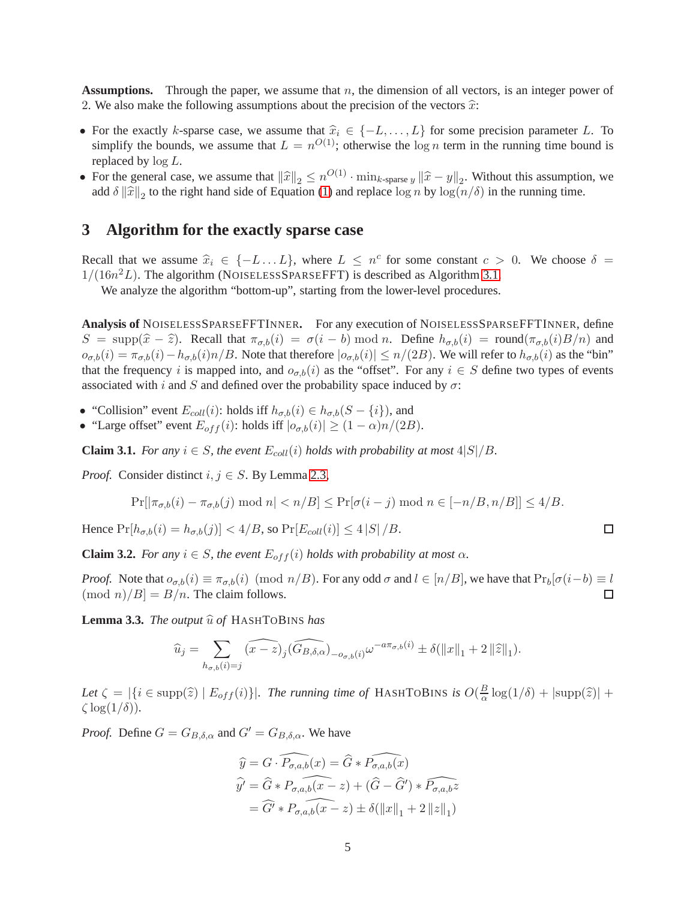**Assumptions.** Through the paper, we assume that  $n$ , the dimension of all vectors, is an integer power of 2. We also make the following assumptions about the precision of the vectors  $\hat{x}$ :

- For the exactly k-sparse case, we assume that  $\hat{x}_i \in \{-L, \ldots, L\}$  for some precision parameter L. To simplify the bounds, we assume that  $L = n^{O(1)}$ ; otherwise the  $\log n$  term in the running time bound is replaced by  $log L$ .
- For the general case, we assume that  $\|\widehat{x}\|_2 \le n^{O(1)} \cdot \min_{k\text{-sparse } y} \|\widehat{x} y\|_2$ . Without this assumption, we add  $\delta ||\hat{x}||_2$  to the right hand side of Equation [\(1\)](#page-1-1) and replace  $\log n$  by  $\log(n/\delta)$  in the running time.

## **3 Algorithm for the exactly sparse case**

Recall that we assume  $\hat{x}_i \in \{-L \dots L\}$ , where  $L \leq n^c$  for some constant  $c > 0$ . We choose  $\delta =$  $1/(16n^2L)$ . The algorithm (NOISELESSSPARSEFFT) is described as Algorithm [3.1.](#page-6-0)

We analyze the algorithm "bottom-up", starting from the lower-level procedures.

**Analysis of** NOISELESSSPARSEFFTINNER**.** For any execution of NOISELESSSPARSEFFTINNER, define  $S = \text{supp}(\hat{x} - \hat{z})$ . Recall that  $\pi_{\sigma,b}(i) = \sigma(i - b) \mod n$ . Define  $h_{\sigma,b}(i) = \text{round}(\pi_{\sigma,b}(i)B/n)$  and  $o_{\sigma,b}(i) = \pi_{\sigma,b}(i) - h_{\sigma,b}(i) n/B$ . Note that therefore  $|o_{\sigma,b}(i)| \le n/(2B)$ . We will refer to  $h_{\sigma,b}(i)$  as the "bin" that the frequency i is mapped into, and  $o_{\sigma,b}(i)$  as the "offset". For any  $i \in S$  define two types of events associated with i and S and defined over the probability space induced by  $\sigma$ :

- "Collision" event  $E_{coll}(i)$ : holds iff  $h_{\sigma,b}(i) \in h_{\sigma,b}(S \{i\})$ , and
- "Large offset" event  $E_{off}(i)$ : holds iff  $|o_{\sigma,b}(i)| \ge (1-\alpha)n/(2B)$ .

<span id="page-5-1"></span>**Claim 3.1.** *For any*  $i \in S$ *, the event*  $E_{coll}(i)$  *holds with probability at most*  $4|S|/B$ *.* 

*Proof.* Consider distinct  $i, j \in S$ . By Lemma [2.3,](#page-4-0)

$$
\Pr[\left|\pi_{\sigma,b}(i)-\pi_{\sigma,b}(j)\bmod n\right|
$$

Hence  $Pr[h_{\sigma,b}(i) = h_{\sigma,b}(j)] < 4/B$ , so  $Pr[E_{coll}(i)] \le 4 |S| / B$ .

<span id="page-5-2"></span>**Claim 3.2.** *For any*  $i \in S$ *, the event*  $E_{off}(i)$  *holds with probability at most*  $\alpha$ *.* 

*Proof.* Note that  $o_{\sigma,b}(i) \equiv \pi_{\sigma,b}(i) \pmod{n/B}$ . For any odd  $\sigma$  and  $l \in [n/B]$ , we have that  $Pr_b[\sigma(i-b) \equiv l \pmod{n/B} = B/n$ . The claim follows.  $\pmod{n}$   $|B| = B/n$ . The claim follows.

<span id="page-5-0"></span>**Lemma 3.3.** *The output*  $\widehat{u}$  *of* HASHTOBINS *has* 

$$
\widehat{u}_j = \sum_{h_{\sigma,b}(i)=j} \widehat{(x-z)_j} \widehat{(G_{B,\delta,\alpha})}_{-\sigma_{\sigma,b}(i)} \omega^{-a\pi_{\sigma,b}(i)} \pm \delta(\|x\|_1 + 2\|\widehat{z}\|_1).
$$

Let  $\zeta = |\{i \in \text{supp}(\hat{z}) \mid E_{off}(i)\}|$ *. The running time of* HASHTOBINS *is*  $O(\frac{B}{\alpha})$  $\frac{B}{\alpha} \log(1/\delta) + |\text{supp}(\widehat{z})| +$  $\zeta \log(1/\delta)$ ).

*Proof.* Define  $G = G_{B,\delta,\alpha}$  and  $G' = G_{B,\delta,\alpha}$ . We have

$$
\widehat{y} = G \cdot \widehat{P_{\sigma,a,b}(x)} = \widehat{G} * \widehat{P_{\sigma,a,b}(x)}
$$
\n
$$
\widehat{y'} = \widehat{G} * \widehat{P_{\sigma,a,b}(x-z)} + (\widehat{G} - \widehat{G}') * \widehat{P_{\sigma,a,b}z}
$$
\n
$$
= \widehat{G'} * \widehat{P_{\sigma,a,b}(x-z)} \pm \delta(||x||_1 + 2 ||z||_1)
$$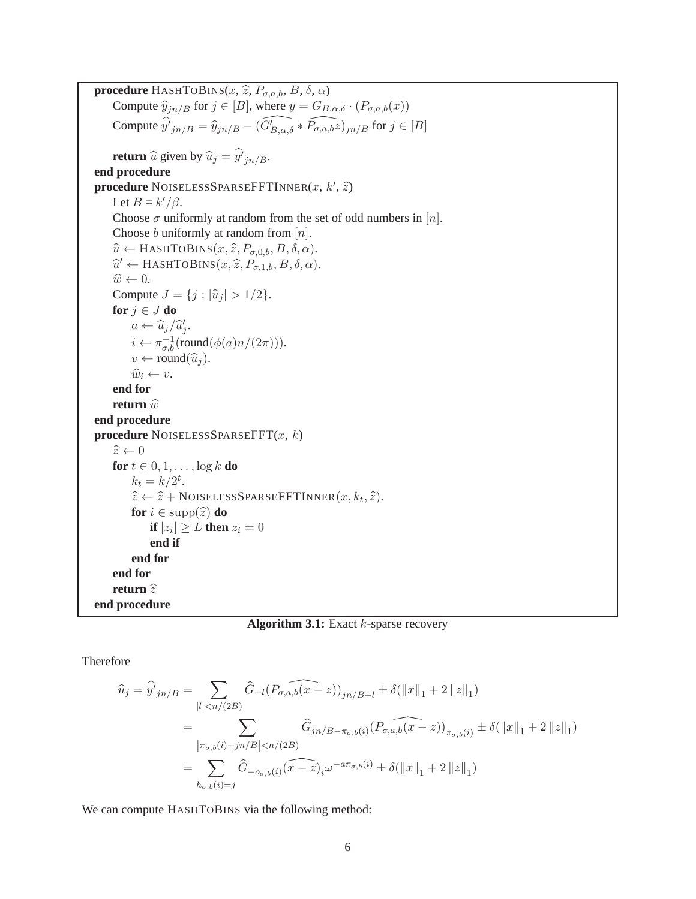<span id="page-6-0"></span>**procedure** HASHTOBINS( $x$ ,  $\hat{z}$ ,  $P_{\sigma,a,b}$ ,  $B$ ,  $\delta$ ,  $\alpha$ ) Compute  $\widehat{y}_{jn/B}$  for  $j \in [B]$ , where  $y = G_{B,\alpha,\delta} \cdot (P_{\sigma,a,b}(x))$ Compute  $\hat{y'}_{jn/B} = \hat{y}_{jn/B} - (\widehat{G'_{B,\alpha,\delta}} * \widehat{P_{\sigma,a,b}z})_{jn/B}$  for  $j \in [B]$ **return**  $\hat{u}$  given by  $\hat{u}_j = y'_{jn/B}$ . **end procedure procedure** NOISELESSSPARSEFFTINNER $(x, k', \hat{z})$ Let  $B = k'/\beta$ . Choose  $\sigma$  uniformly at random from the set of odd numbers in [n]. Choose *b* uniformly at random from  $[n]$ .  $\widehat{u} \leftarrow$  HASHTOBINS $(x, \widehat{z}, P_{\sigma, 0,b}, B, \delta, \alpha)$ .  $\widehat{u}' \leftarrow$  HASHTOBINS $(x, \widehat{z}, P_{\sigma,1,b}, B, \delta, \alpha)$ .  $\widehat{w} \leftarrow 0.$ Compute  $J = \{j : |\hat{u}_j| > 1/2\}.$ **for**  $j \in J$  **do**  $a \leftarrow \widehat{u}_j / \widehat{u}'_j.$  $i \leftarrow \pi_{\sigma,b}^{-1}(\text{round}(\phi(a)n/(2\pi))).$  $v \leftarrow \text{round}(\widehat{u}_i).$  $\widehat{w}_i \leftarrow v.$ **end for return**  $\widehat{w}$ **end procedure procedure** NOISELESSSPARSEFFT $(x, k)$  $\hat{z} \leftarrow 0$ **for**  $t \in 0, 1, \ldots, \log k$  **do**  $k_t = k/2^t$ .  $\widehat{z} \leftarrow \widehat{z} + \text{NOISELESSPARSEFFTINNER}(x, k_t, \widehat{z}).$ **for**  $i \in \text{supp}(\widehat{z})$  **do if**  $|z_i| \geq L$  **then**  $z_i = 0$ **end if end for end for return**  $\hat{z}$ **end procedure**

**Algorithm 3.1:** Exact k-sparse recovery

Therefore

$$
\begin{split} \widehat{u}_{j} &= \widehat{y'}_{jn/B} = \sum_{|l| < n/(2B)} \widehat{G}_{-l} (P_{\sigma,a,b}(x-z))_{jn/B+l} \pm \delta(\|x\|_{1} + 2\|z\|_{1}) \\ &= \sum_{\left|\pi_{\sigma,b}(i)-j n/B\right| < n/(2B)} \widehat{G}_{jn/B-\pi_{\sigma,b}(i)} (P_{\sigma,a,b}(x-z))_{\pi_{\sigma,b}(i)} \pm \delta(\|x\|_{1} + 2\|z\|_{1}) \\ &= \sum_{h_{\sigma,b}(i)=j} \widehat{G}_{-\sigma_{\sigma,b}(i)} \widehat{(x-z)}_{i}\omega^{-a\pi_{\sigma,b}(i)} \pm \delta(\|x\|_{1} + 2\|z\|_{1}) \end{split}
$$

We can compute HASHTOBINS via the following method: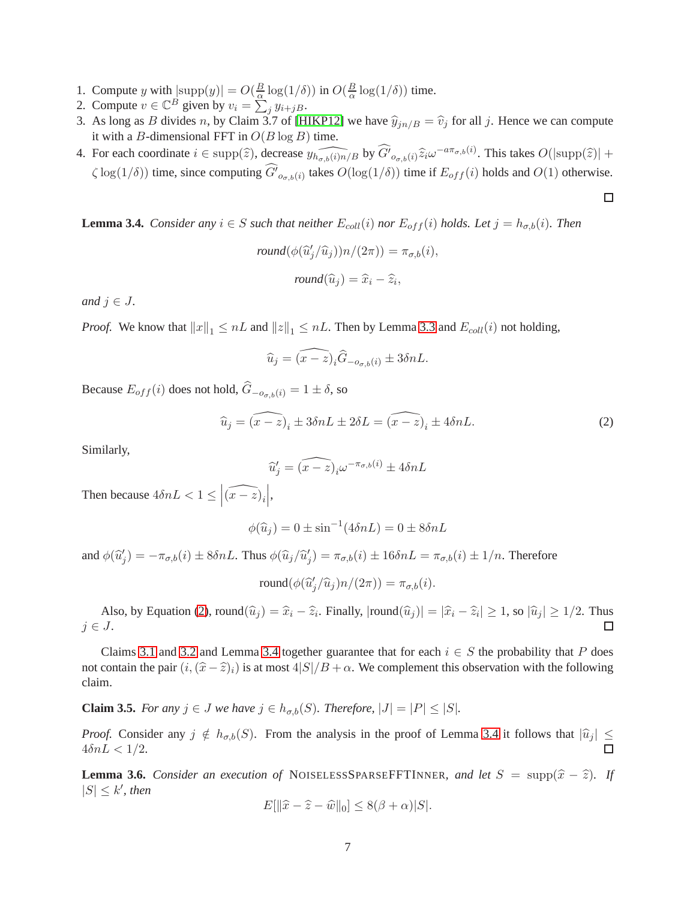- 1. Compute y with  $|\text{supp}(y)| = O(\frac{B}{\alpha})$  $\frac{B}{\alpha} \log(1/\delta)$ ) in  $O(\frac{B}{\alpha})$  $\frac{B}{\alpha} \log(1/\delta)$  time.
- 2. Compute  $v \in \mathbb{C}^B$  given by  $v_i = \sum_{j=1}^{\infty} y_{i+jB}$ .
- 3. As long as B divides n, by Claim 3.7 of [\[HIKP12\]](#page-26-11) we have  $\hat{y}_{in/B} = \hat{v}_j$  for all j. Hence we can compute it with a B-dimensional FFT in  $O(B \log B)$  time.
- 4. For each coordinate  $i \in \text{supp}(\hat{z})$ , decrease  $\widehat{y_{h_{\sigma,b}(i)h}}$  by  $\widehat{G'}_{o_{\sigma,b}(i)}\hat{z}_i\omega^{-a\pi_{\sigma,b}(i)}$ . This takes  $O(|\text{supp}(\hat{z})| +$  $\zeta \log(1/\delta)$ ) time, since computing  $G'_{\sigma,\phi}(i)$  takes  $O(\log(1/\delta))$  time if  $E_{off}(i)$  holds and  $O(1)$  otherwise.

<span id="page-7-1"></span>**Lemma 3.4.** *Consider any*  $i \in S$  *such that neither*  $E_{coll}(i)$  *nor*  $E_{off}(i)$  *holds. Let*  $j = h_{\sigma,b}(i)$ *. Then* 

$$
round(\phi(\widehat{u}'_j/\widehat{u}_j))n/(2\pi)) = \pi_{\sigma,b}(i),
$$

$$
round(\widehat{u}_j) = \widehat{x}_i - \widehat{z}_i,
$$

*and*  $j \in J$ .

*Proof.* We know that  $||x||_1 \leq nL$  and  $||z||_1 \leq nL$ . Then by Lemma [3.3](#page-5-0) and  $E_{coll}(i)$  not holding,

$$
\widehat{u}_j = \widehat{(x-z)}_i \widehat{G}_{-o_{\sigma,b}(i)} \pm 3\delta nL.
$$

Because  $E_{off}(i)$  does not hold,  $\hat{G}_{-\sigma_{off}(i)} = 1 \pm \delta$ , so

$$
\widehat{u}_j = (\widehat{x - z})_i \pm 3\delta n L \pm 2\delta L = (\widehat{x - z})_i \pm 4\delta n L. \tag{2}
$$

Similarly,

<span id="page-7-0"></span>
$$
\widehat{u}'_j = \widehat{(x-z)}_i \omega^{-\pi_{\sigma,b}(i)} \pm 4\delta n L
$$

Then because  $4\delta nL < 1 \leq |\widehat{(x-z)}_i|$   ,

$$
\phi(\widehat{u}_j) = 0 \pm \sin^{-1}(4\delta n L) = 0 \pm 8\delta n L
$$

and  $\phi(\hat{u}'_j) = -\pi_{\sigma,b}(i) \pm 8\delta nL$ . Thus  $\phi(\hat{u}_j/\hat{u}'_j) = \pi_{\sigma,b}(i) \pm 16\delta nL = \pi_{\sigma,b}(i) \pm 1/n$ . Therefore

$$
round(\phi(\widehat{u}'_j/\widehat{u}_j)n/(2\pi)) = \pi_{\sigma,b}(i).
$$

Also, by Equation [\(2\)](#page-7-0), round $(\widehat{u}_j) = \widehat{x}_i - \widehat{z}_i$ . Finally,  $|\text{round}(\widehat{u}_j)| = |\widehat{x}_i - \widehat{z}_i| \ge 1$ , so  $|\widehat{u}_j| \ge 1/2$ . Thus  $j \in J$ .

Claims [3.1](#page-5-1) and [3.2](#page-5-2) and Lemma [3.4](#page-7-1) together guarantee that for each  $i \in S$  the probability that P does not contain the pair  $(i,(\hat{x}-\hat{z})_i)$  is at most  $4|S|/B + \alpha$ . We complement this observation with the following claim.

<span id="page-7-2"></span>**Claim 3.5.** *For any*  $j \in J$  *we have*  $j \in h_{\sigma,b}(S)$ *. Therefore,*  $|J| = |P| \leq |S|$ *.* 

*Proof.* Consider any  $j \notin h_{\sigma,b}(S)$ . From the analysis in the proof of Lemma [3.4](#page-7-1) it follows that  $|\hat{u}_j| \le 4\delta nL < 1/2$ .  $4\delta nL < 1/2$ .

<span id="page-7-3"></span>**Lemma 3.6.** *Consider an execution of* NOISELESSSPARSEFFTINNER, and let  $S = \text{supp}(\hat{x} - \hat{z})$ *. If*  $|S| \leq k'$ , then

$$
E[\|\widehat{x} - \widehat{z} - \widehat{w}\|_0] \le 8(\beta + \alpha)|S|.
$$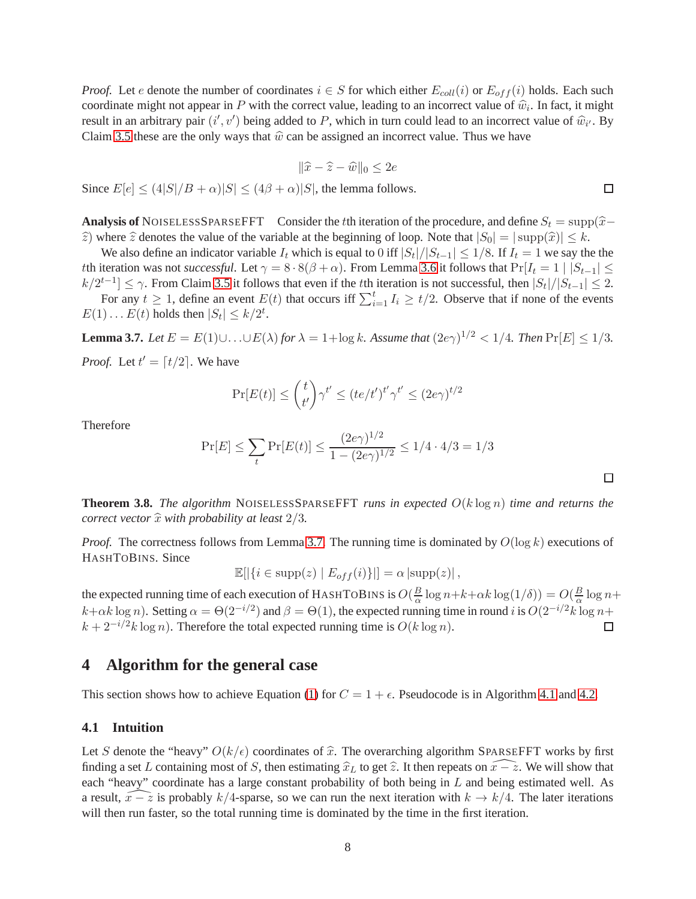*Proof.* Let e denote the number of coordinates  $i \in S$  for which either  $E_{coll}(i)$  or  $E_{off}(i)$  holds. Each such coordinate might not appear in P with the correct value, leading to an incorrect value of  $\hat{w}_i$ . In fact, it might result in an arbitrary pair  $(i', v')$  being added to P, which in turn could lead to an incorrect value of  $\hat{w}_{i'}$ . By Claim [3.5](#page-7-2) these are the only ways that  $\hat{w}$  can be assigned an incorrect value. Thus we have

$$
\|\widehat{x} - \widehat{z} - \widehat{w}\|_0 \le 2e
$$

Since  $E[e] \leq (4|S|/B + \alpha)|S| \leq (4\beta + \alpha)|S|$ , the lemma follows.

**Analysis of** NOISELESSSPARSEFFT Consider the tth iteration of the procedure, and define  $S_t = \text{supp}(\hat{x} - \hat{y})$  $\hat{z}$ ) where  $\hat{z}$  denotes the value of the variable at the beginning of loop. Note that  $|S_0| = |\supp(\hat{x})| \leq k$ .

We also define an indicator variable  $I_t$  which is equal to 0 iff  $|S_t|/|S_{t-1}| \leq 1/8$ . If  $I_t = 1$  we say the the tth iteration was not *successful*. Let  $\gamma = 8 \cdot 8(\beta + \alpha)$ . From Lemma [3.6](#page-7-3) it follows that  $Pr[I_t = 1 | |S_{t-1}| \leq$  $k/2^{t-1} \leq \gamma$ . From Claim [3.5](#page-7-2) it follows that even if the *t*th iteration is not successful, then  $|S_t|/|S_{t-1}| \leq 2$ .

For any  $t \ge 1$ , define an event  $E(t)$  that occurs iff  $\sum_{i=1}^{t} I_i \ge t/2$ . Observe that if none of the events  $E(1) \dots E(t)$  holds then  $|S_t| \le k/2^t$ .

<span id="page-8-1"></span>**Lemma 3.7.** *Let*  $E = E(1) \cup ... \cup E(\lambda)$  *for*  $\lambda = 1 + \log k$ *. Assume that*  $(2e\gamma)^{1/2} < 1/4$ *. Then*  $\Pr[E] \le 1/3$ *. Proof.* Let  $t' = \lfloor t/2 \rfloor$ . We have

$$
\Pr[E(t)] \le \binom{t}{t'} \gamma^{t'} \le (te/t')^{t'} \gamma^{t'} \le (2e\gamma)^{t/2}
$$

Therefore

$$
\Pr[E] \le \sum_{t} \Pr[E(t)] \le \frac{(2e\gamma)^{1/2}}{1 - (2e\gamma)^{1/2}} \le 1/4 \cdot 4/3 = 1/3
$$

**Theorem 3.8.** *The algorithm* NOISELESSSPARSEFFT *runs in expected* O(k log n) *time and returns the correct vector*  $\hat{x}$  *with probability at least*  $2/3$ *.* 

*Proof.* The correctness follows from Lemma [3.7.](#page-8-1) The running time is dominated by  $O(\log k)$  executions of HASHTOBINS. Since

$$
\mathbb{E}[|\{i \in \text{supp}(z) \mid E_{off}(i)\}|] = \alpha |\text{supp}(z)|,
$$

the expected running time of each execution of HASHTOBINS is  $O(\frac{B}{\alpha})$  $\frac{B}{\alpha} \log n + k + \alpha k \log(1/\delta) = O(\frac{B}{\alpha})$  $\frac{B}{\alpha} \log n +$  $k+\alpha k \log n$ ). Setting  $\alpha = \Theta(2^{-i/2})$  and  $\beta = \Theta(1)$ , the expected running time in round i is  $O(2^{-i/2}k \log n +$  $k + 2^{-i/2}k \log n$ ). Therefore the total expected running time is  $O(k \log n)$ .  $\Box$ 

## **4 Algorithm for the general case**

This section shows how to achieve Equation [\(1\)](#page-1-1) for  $C = 1 + \epsilon$ . Pseudocode is in Algorithm [4.1](#page-10-0) and [4.2.](#page-11-0)

#### <span id="page-8-0"></span>**4.1 Intuition**

Let S denote the "heavy"  $O(k/\epsilon)$  coordinates of  $\hat{x}$ . The overarching algorithm SPARSEFFT works by first finding a set L containing most of S, then estimating  $\hat{x}_L$  to get  $\hat{z}$ . It then repeats on  $\hat{x} - \hat{z}$ . We will show that each "heavy" coordinate has a large constant probability of both being in L and being estimated well. As a result,  $\tilde{x} - \tilde{z}$  is probably k/4-sparse, so we can run the next iteration with  $k \to k/4$ . The later iterations will then run faster, so the total running time is dominated by the time in the first iteration.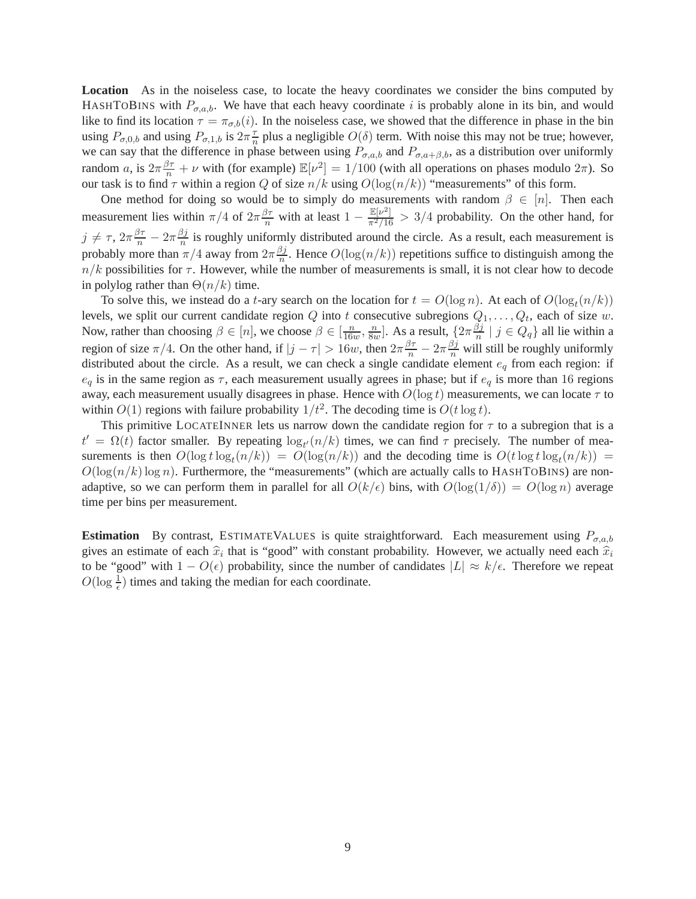**Location** As in the noiseless case, to locate the heavy coordinates we consider the bins computed by HASHTOBINS with  $P_{\sigma,a,b}$ . We have that each heavy coordinate i is probably alone in its bin, and would like to find its location  $\tau = \pi_{\sigma,b}(i)$ . In the noiseless case, we showed that the difference in phase in the bin using  $P_{\sigma,0,b}$  and using  $P_{\sigma,1,b}$  is  $2\pi \frac{\tau}{n}$  $\frac{\tau}{n}$  plus a negligible  $O(\delta)$  term. With noise this may not be true; however, we can say that the difference in phase between using  $P_{\sigma,a,b}$  and  $P_{\sigma,a+\beta,b}$ , as a distribution over uniformly random a, is  $2\pi \frac{\beta \tau}{n} + \nu$  with (for example)  $\mathbb{E}[\nu^2] = 1/100$  (with all operations on phases modulo  $2\pi$ ). So our task is to find  $\tau$  within a region Q of size  $n/k$  using  $O(\log(n/k))$  "measurements" of this form.

One method for doing so would be to simply do measurements with random  $\beta \in [n]$ . Then each measurement lies within  $\pi/4$  of  $2\pi \frac{\beta\tau}{n}$  with at least  $1 - \frac{E[\nu^2]}{\pi^2/16} > 3/4$  probability. On the other hand, for  $j \neq \tau$ ,  $2\pi \frac{\beta \tau}{n} - 2\pi \frac{\beta j}{n}$  $\frac{\partial f}{\partial n}$  is roughly uniformly distributed around the circle. As a result, each measurement is probably more than  $\pi/4$  away from  $2\pi \frac{\beta j}{n}$  $\frac{\partial j}{n}$ . Hence  $O(\log(n/k))$  repetitions suffice to distinguish among the  $n/k$  possibilities for  $\tau$ . However, while the number of measurements is small, it is not clear how to decode in polylog rather than  $\Theta(n/k)$  time.

To solve this, we instead do a *t*-ary search on the location for  $t = O(\log n)$ . At each of  $O(\log_t(n/k))$ levels, we split our current candidate region Q into t consecutive subregions  $Q_1, \ldots, Q_t$ , each of size w. Now, rather than choosing  $\beta \in [n]$ , we choose  $\beta \in [\frac{n}{160}]$  $\frac{n}{16w}, \frac{n}{8w}$  $\frac{n}{8w}$ ]. As a result,  $\left\{2\pi\frac{\beta j}{n}\right\}$  $\frac{\partial j}{\partial n} \mid j \in Q_q$  all lie within a region of size  $\pi/4$ . On the other hand, if  $|j-\tau| > 16w$ , then  $2\pi \frac{\beta\tau}{n} - 2\pi \frac{\beta j}{n}$  will still be roughly uniformly distributed about the circle. As a result, we can check a single candidate element  $e_q$  from each region: if  $e_q$  is in the same region as  $\tau$ , each measurement usually agrees in phase; but if  $e_q$  is more than 16 regions away, each measurement usually disagrees in phase. Hence with  $O(\log t)$  measurements, we can locate  $\tau$  to within  $O(1)$  regions with failure probability  $1/t^2$ . The decoding time is  $O(t \log t)$ .

This primitive LOCATEINNER lets us narrow down the candidate region for  $\tau$  to a subregion that is a  $t' = \Omega(t)$  factor smaller. By repeating  $\log_{t'}(n/k)$  times, we can find  $\tau$  precisely. The number of measurements is then  $O(\log t \log_t(n/k)) = O(\log(n/k))$  and the decoding time is  $O(t \log t \log_t(n/k))$  =  $O(\log(n/k)\log n)$ . Furthermore, the "measurements" (which are actually calls to HASHTOBINS) are nonadaptive, so we can perform them in parallel for all  $O(k/\epsilon)$  bins, with  $O(\log(1/\delta)) = O(\log n)$  average time per bins per measurement.

**Estimation** By contrast, ESTIMATEVALUES is quite straightforward. Each measurement using  $P_{\sigma,a,b}$ gives an estimate of each  $\hat{x}_i$  that is "good" with constant probability. However, we actually need each  $\hat{x}_i$ to be "good" with  $1 - O(\epsilon)$  probability, since the number of candidates  $|L| \approx k/\epsilon$ . Therefore we repeat  $O(\log \frac{1}{\epsilon})$  times and taking the median for each coordinate.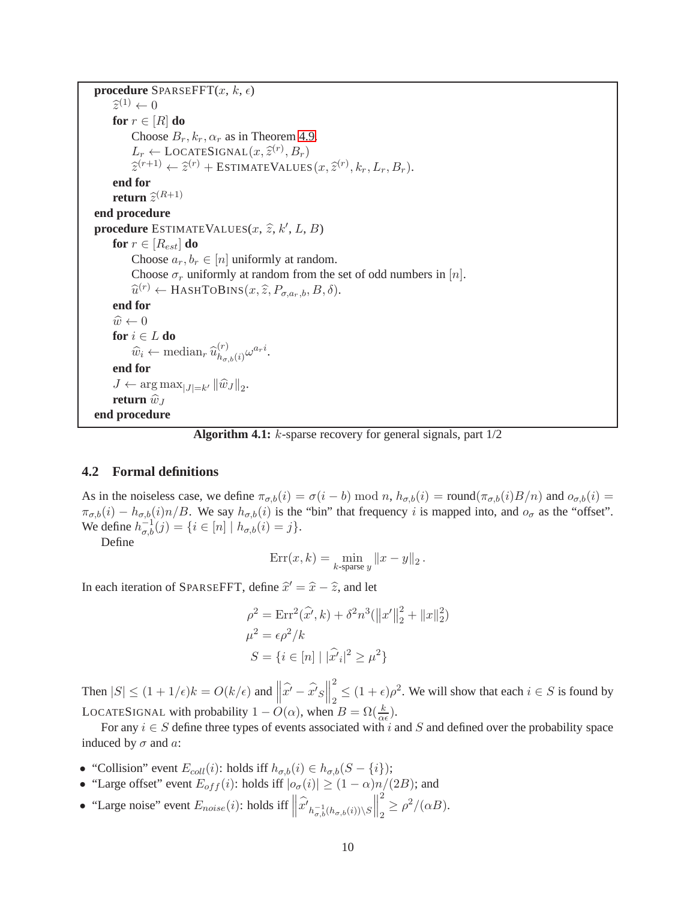<span id="page-10-0"></span>**procedure** SPARSEFFT $(x, k, \epsilon)$  $\widehat{z}^{(1)} \leftarrow 0$ **for**  $r \in [R]$  **do** Choose  $B_r, k_r, \alpha_r$  as in Theorem [4.9.](#page-18-0)  $L_r \leftarrow \text{LOCALESIGNAL}(x, \hat{z}^{(r)}, B_r)$ <br>  $\hat{z}^{(r+1)}$   $\hat{z}^{(r)}$  is Figure in  $\hat{z}^{(r+1)}$  $\widehat{z}^{(r+1)} \leftarrow \widehat{z}^{(r)} + \text{EstimateValues}(x, \widehat{z}^{(r)}, k_r, L_r, B_r).$ **end for return**  $\widehat{z}^{(R+1)}$ **end procedure procedure** ESTIMATEVALUES $(x, \hat{z}, k', L, B)$ **for**  $r \in [R_{est}]$  **do** Choose  $a_r, b_r \in [n]$  uniformly at random. Choose  $\sigma_r$  uniformly at random from the set of odd numbers in [n].  $\widehat{u}^{(r)} \leftarrow$  HashtoBins $(x, \widehat{z}, P_{\sigma, a_r, b}, B, \delta)$ . **end for**  $\widehat{w} \leftarrow 0$ **for**  $i \in L$  **do**  $\widehat{w}_i \leftarrow \text{median}_r \, \widehat{u}_{h_{\sigma, r}}^{(r)}$  ${}^{(r)}_{h_{\sigma,b}(i)}\omega^{a_{r}i}.$ **end for**  $J \leftarrow \arg \max_{|J|=k'} ||\widehat{w}_J||_2.$ **return**  $\widehat{w}_J$ **end procedure**

**Algorithm 4.1:** k-sparse recovery for general signals, part 1/2

#### **4.2 Formal definitions**

As in the noiseless case, we define  $\pi_{\sigma,b}(i) = \sigma(i - b) \mod n$ ,  $h_{\sigma,b}(i) = \text{round}(\pi_{\sigma,b}(i)B/n)$  and  $o_{\sigma,b}(i) =$  $\pi_{\sigma,b}(i) - h_{\sigma,b}(i)n/B$ . We say  $h_{\sigma,b}(i)$  is the "bin" that frequency i is mapped into, and  $o_{\sigma}$  as the "offset". We define  $h_{\sigma,b}^{-1}(j) = \{i \in [n] \mid h_{\sigma,b}(i) = j\}.$ 

Define

$$
Err(x,k) = \min_{k\text{-sparse }y} ||x - y||_2.
$$

In each iteration of SPARSEFFT, define  $\hat{x}' = \hat{x} - \hat{z}$ , and let

$$
\rho^2 = \text{Err}^2(\hat{x'}, k) + \delta^2 n^3 (\|x'\|_2^2 + \|x\|_2^2)
$$

$$
\mu^2 = \epsilon \rho^2 / k
$$

$$
S = \{ i \in [n] \mid |\hat{x'}_i|^2 \ge \mu^2 \}
$$

Then  $|S| \le (1 + 1/\epsilon)k = O(k/\epsilon)$  and  $\left\| \widehat{x'} - \widehat{x'}S\right\|$  $\begin{array}{c} \vspace{0.1cm} \rule{0.1cm}{0.1cm} \vspace{0.1cm} \rule{0.1cm}{0.1cm} \vspace{0.1cm} \vspace{0.1cm} \end{array}$ 2  $\frac{1}{2} \leq (1+\epsilon)\rho^2$ . We will show that each  $i \in S$  is found by LOCATESIGNAL with probability  $1 - O(\alpha)$ , when  $B = \Omega(\frac{k}{\alpha \epsilon})$ .

For any  $i \in S$  define three types of events associated with i and S and defined over the probability space induced by  $\sigma$  and  $a$ :

- "Collision" event  $E_{coll}(i)$ : holds iff  $h_{\sigma,b}(i) \in h_{\sigma,b}(S \{i\})$ ;
- "Large offset" event  $E_{off}(i)$ : holds iff  $|o_{\sigma}(i)| \ge (1 \alpha)n/(2B)$ ; and
- "Large noise" event  $E_{noise}(i)$ : holds iff  $\left\|\widehat{x'}_{h_{\sigma,b}^{-1}(h_{\sigma,b}(i))\setminus S}\right\|$  $\begin{array}{c} \hline \end{array}$ 2  $\frac{1}{2} \geq \rho^2/(\alpha B).$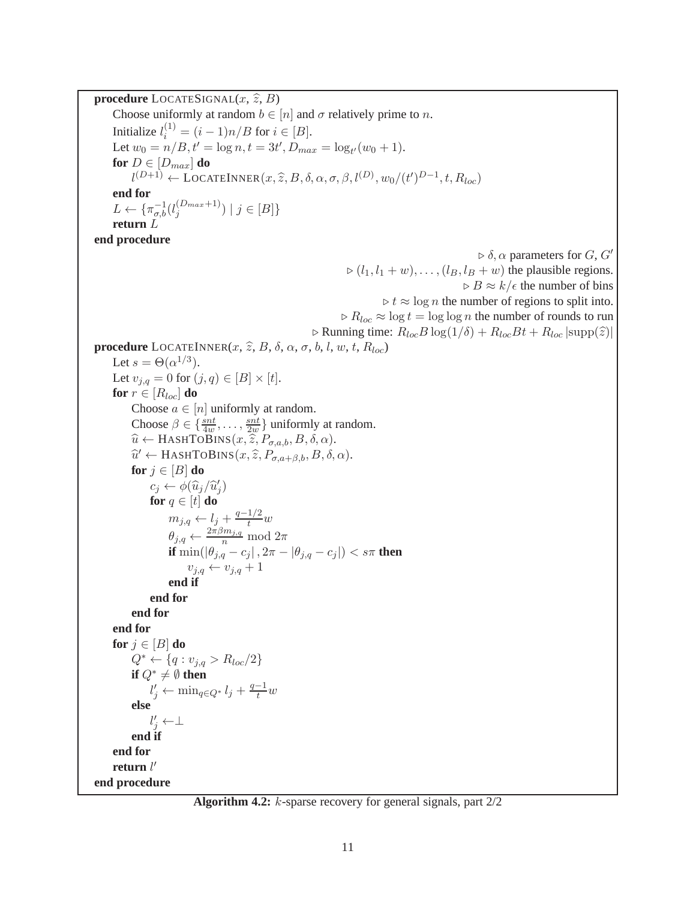<span id="page-11-0"></span>**procedure** LOCATESIGNAL $(x, \hat{z}, B)$ Choose uniformly at random  $b \in [n]$  and  $\sigma$  relatively prime to n. Initialize  $l_i^{(1)} = (i-1)n/B$  for  $i \in [B]$ . Let  $w_0 = n/B$ ,  $t' = \log n$ ,  $t = 3t'$ ,  $D_{max} = \log_{t'}(w_0 + 1)$ . **for**  $D \in [D_{max}]$  **do**  $l^{(D+1)} \leftarrow \text{LOCALINNER}(x, \widehat{z}, B, \delta, \alpha, \sigma, \beta, l^{(D)}, w_0/(t')^{D-1}, t, R_{loc})$ **end for**  $L \leftarrow {\{\pi_{\sigma,b}^{-1}(l_j^{(D_{max}+1)}\)}$  $\binom{D_{max}+1}{j}$  |  $j \in [B]$ } **return** L **end procedure**  $\rhd \delta$ ,  $\alpha$  parameters for  $G$ ,  $G'$  $\triangleright$   $(l_1, l_1 + w), \ldots, (l_B, l_B + w)$  the plausible regions.  $\triangleright$  B  $\approx$  k/ $\epsilon$  the number of bins  $\triangleright t \approx \log n$  the number of regions to split into.  $\triangleright R_{loc} \approx \log t = \log \log n$  the number of rounds to run  $\triangleright$  Running time:  $R_{loc}B \log(1/\delta) + R_{loc}Bt + R_{loc} |\text{supp}(\hat{z})|$ **procedure** LOCATEINNER $(x, \hat{z}, B, \delta, \alpha, \sigma, b, l, w, t, R_{loc})$ Let  $s = \Theta(\alpha^{1/3})$ . Let  $v_{j,q} = 0$  for  $(j,q) \in [B] \times [t]$ . **for**  $r \in [R_{loc}]$  **do** Choose  $a \in [n]$  uniformly at random. Choose  $\beta \in \{\frac{snt}{4w}, \ldots, \frac{snt}{2w}\}$  $\frac{snt}{2w}$  uniformly at random.  $\widehat{u} \leftarrow$  HASHTOBINS $(x, \widehat{z}, P_{\sigma,a,b}, B, \delta, \alpha)$ .  $\widehat{u}' \leftarrow$  HASHTOBINS $(x, \widehat{z}, P_{\sigma,a+\beta,b}, B, \delta, \alpha)$ . **for**  $j \in [B]$  **do**  $c_j \leftarrow \phi(\widehat{u}_j/\widehat{u}'_j)$ **for**  $q \in [t]$  **do**  $m_{j,q} \leftarrow l_j + \frac{q-1/2}{t}w$  $\theta_{j,q} \leftarrow \frac{2\pi\beta m_{j,q}}{n} \mod 2\pi$ **if**  $\min(|\theta_{j,q} - c_j|, 2\pi - |\theta_{j,q} - c_j|) < s\pi$  **then**  $v_{j,q} \leftarrow v_{j,q} + 1$ **end if end for end for end for for**  $j \in [B]$  **do**  $Q^* \leftarrow \{q : v_{j,q} > R_{loc}/2\}$ **if**  $Q^*$  ≠  $\emptyset$  **then**  $l'_j \leftarrow \min_{q \in Q^*} l_j + \frac{q-1}{t}w$ **else**  $l'_j \leftarrow \perp$ **end if end for return** l ′ **end procedure**

**Algorithm 4.2:** k-sparse recovery for general signals, part 2/2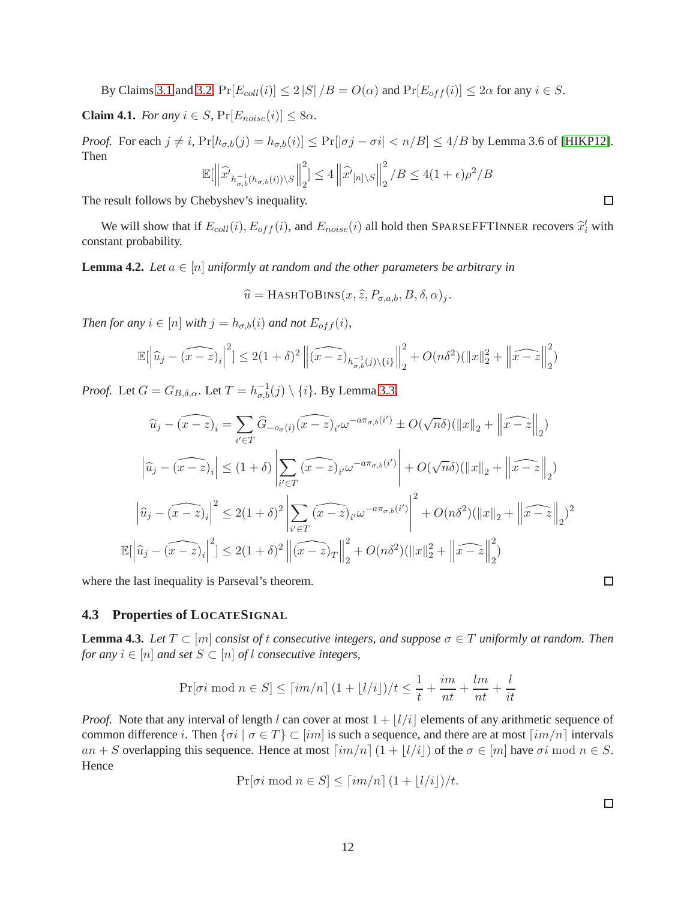By Claims [3.1](#page-5-1) and [3.2,](#page-5-2)  $Pr[E_{coll}(i)] \leq 2 |S| / B = O(\alpha)$  and  $Pr[E_{off}(i)] \leq 2\alpha$  for any  $i \in S$ .

**Claim 4.1.** *For any*  $i \in S$ ,  $Pr[E_{noise}(i)] \leq 8\alpha$ .

*Proof.* For each  $j \neq i$ ,  $Pr[h_{\sigma,b}(j) = h_{\sigma,b}(i)] \leq Pr[|\sigma_j - \sigma i| < n/B] \leq 4/B$  by Lemma 3.6 of [\[HIKP12\]](#page-26-11). Then  $\overline{\mathbf{u}}$  $\|^{2}$   $\leq$   $\|$   $\supset$   $\|^{2}$ /B

$$
\mathbb{E}[\left\|\widehat{x'}_{h_{\sigma,b}^{-1}(h_{\sigma,b}(i))\setminus S}\right\|_2^2] \le 4\left\|\widehat{x'}_{[n]\setminus S}\right\|_2^2/B \le 4(1+\epsilon)\rho^2/E
$$

The result follows by Chebyshev's inequality.

We will show that if  $E_{coll}(i)$ ,  $E_{off}(i)$ , and  $E_{noise}(i)$  all hold then SPARSEFFTINNER recovers  $\hat{x}'_i$  with constant probability.

<span id="page-12-0"></span>**Lemma 4.2.** *Let*  $a \in [n]$  *uniformly at random and the other parameters be arbitrary in* 

$$
\widehat{u} = \text{HASHTOBINS}(x, \widehat{z}, P_{\sigma, a, b}, B, \delta, \alpha)_j.
$$

*Then for any*  $i \in [n]$  *with*  $j = h_{\sigma,b}(i)$  *and not*  $E_{off}(i)$ *,* 

$$
\mathbb{E}\left[\left|\widehat{u}_j - \widehat{(x-z)}_i\right|^2\right] \le 2(1+\delta)^2 \left\|\widehat{(x-z)}_{h_{\sigma,b}^{-1}(j)\backslash\{i\}}\right\|_2^2 + O(n\delta^2)(\|x\|_2^2 + \left\|\widehat{x-z}\right\|_2^2)
$$

*Proof.* Let  $G = G_{B,\delta,\alpha}$ . Let  $T = h_{\sigma,b}^{-1}(j) \setminus \{i\}$ . By Lemma [3.3,](#page-5-0)

$$
\widehat{u}_j - (\widehat{x - z})_i = \sum_{i' \in T} \widehat{G}_{-\sigma(\widehat{t})}(\widehat{x - z})_{i'} \omega^{-a\pi_{\sigma,b}(\widehat{i}')} \pm O(\sqrt{n}\delta)(\|x\|_2 + \left\|\widehat{x - z}\right\|_2)
$$

$$
\left|\widehat{u}_j - (\widehat{x - z})_i\right| \le (1 + \delta) \left|\sum_{i' \in T} (\widehat{x - z})_{i'} \omega^{-a\pi_{\sigma,b}(\widehat{i}')} \right| + O(\sqrt{n}\delta)(\|x\|_2 + \left\|\widehat{x - z}\right\|_2)
$$

$$
\left|\widehat{u}_j - (\widehat{x - z})_i\right|^2 \le 2(1 + \delta)^2 \left|\sum_{i' \in T} (\widehat{x - z})_{i'} \omega^{-a\pi_{\sigma,b}(\widehat{i}')} \right|^2 + O(n\delta^2)(\|x\|_2 + \left\|\widehat{x - z}\right\|_2)^2
$$

$$
\mathbb{E}[\left|\widehat{u}_j - (\widehat{x - z})_i\right|^2] \le 2(1 + \delta)^2 \left\|\widehat{x - z}\right\|_2^2 + O(n\delta^2)(\|x\|_2^2 + \left\|\widehat{x - z}\right\|_2^2)
$$

where the last inequality is Parseval's theorem.

### **4.3 Properties of LOCATESIGNAL**

<span id="page-12-1"></span>**Lemma 4.3.** *Let*  $T \subset [m]$  *consist of t consecutive integers, and suppose*  $\sigma \in T$  *uniformly at random. Then for any*  $i \in [n]$  *and set*  $S \subset [n]$  *of* l *consecutive integers,* 

$$
\Pr[\sigma i \mod n \in S] \leq \lceil im/n \rceil (1 + \lfloor l/i \rfloor)/t \leq \frac{1}{t} + \frac{im}{nt} + \frac{lm}{nt} + \frac{l}{it}
$$

*Proof.* Note that any interval of length l can cover at most  $1 + |l/i|$  elements of any arithmetic sequence of common difference i. Then  $\{\sigma i \mid \sigma \in T\} \subset [im]$  is such a sequence, and there are at most  $\lceil im/n \rceil$  intervals an + S overlapping this sequence. Hence at most  $\lceil im/n \rceil (1 + |l/i|)$  of the  $\sigma \in [m]$  have  $\sigma i \mod n \in S$ . Hence

$$
\Pr[\sigma i \bmod n \in S] \leq \lceil im/n \rceil (1 + \lfloor l/i \rfloor)/t.
$$

 $\Box$ 

 $\Box$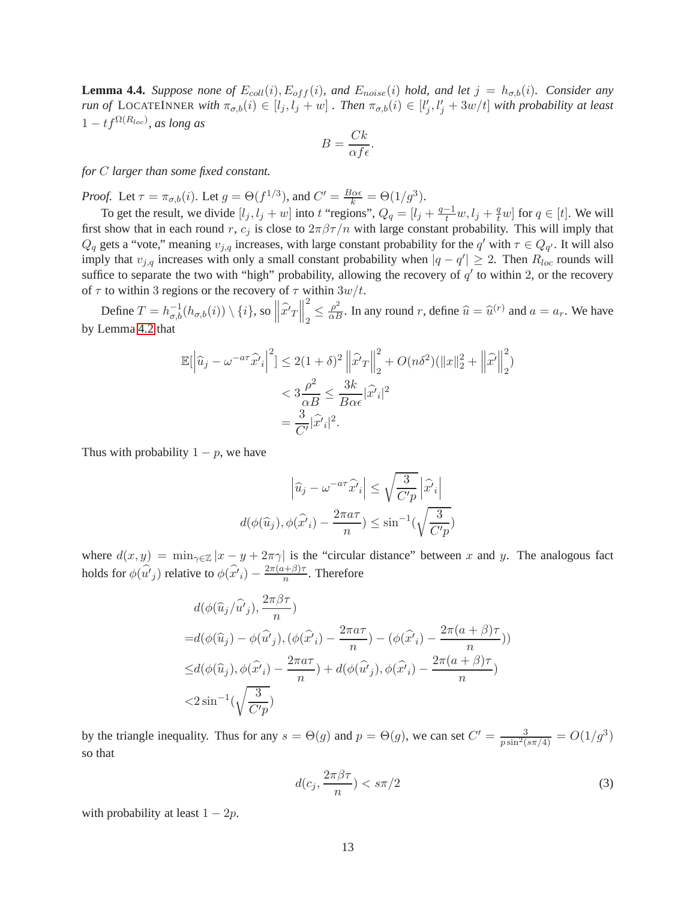<span id="page-13-1"></span>**Lemma 4.4.** *Suppose none of*  $E_{coll}(i)$ ,  $E_{off}(i)$ *, and*  $E_{noise}(i)$  *hold, and let*  $j = h_{\sigma,b}(i)$ *. Consider any run of* LOCATEINNER *with*  $\pi_{\sigma,b}(i) \in [l_j, l_j + w]$  *. Then*  $\pi_{\sigma,b}(i) \in [l'_j, l'_j + 3w/t]$  *with probability at least*  $1 - tf^{\Omega(R_{loc})}$ , as long as

$$
B = \frac{Ck}{\alpha f \epsilon}.
$$

*for* C *larger than some fixed constant.*

*Proof.* Let  $\tau = \pi_{\sigma,b}(i)$ . Let  $g = \Theta(f^{1/3})$ , and  $C' = \frac{B\alpha\epsilon}{k} = \Theta(1/g^3)$ .

To get the result, we divide  $[l_j, l_j + w]$  into t "regions",  $Q_q = [l_j + \frac{q-1}{t}w, l_j + \frac{q}{t}w]$  for  $q \in [t]$ . We will first show that in each round r,  $c_j$  is close to  $2\pi\beta\tau/n$  with large constant probability. This will imply that  $Q_q$  gets a "vote," meaning  $v_{j,q}$  increases, with large constant probability for the  $q'$  with  $\tau \in Q_{q'}$ . It will also imply that  $v_{j,q}$  increases with only a small constant probability when  $|q - q'| \ge 2$ . Then  $R_{loc}$  rounds will suffice to separate the two with "high" probability, allowing the recovery of  $q'$  to within 2, or the recovery of  $\tau$  to within 3 regions or the recovery of  $\tau$  within  $3w/t$ .

Define  $T = h_{\sigma,b}^{-1}(h_{\sigma,b}(i)) \setminus \{i\}$ , so  $\left\| \widehat{x'}_T \right\|$  2  $\frac{2}{2} \leq \frac{\rho^2}{\alpha B}$ . In any round r, define  $\hat{u} = \hat{u}^{(r)}$  and  $a = a_r$ . We have by Lemma [4.2](#page-12-0) that

$$
\mathbb{E}\left[\left|\widehat{u}_j - \omega^{-a\tau}\widehat{x'}_i\right|^2\right] \le 2(1+\delta)^2 \left\|\widehat{x'}_T\right\|_2^2 + O(n\delta^2)(\|x\|_2^2 + \left\|\widehat{x'}\right\|_2^2)
$$
  

$$
< 3\frac{\rho^2}{\alpha B} \le \frac{3k}{B\alpha\epsilon}|\widehat{x'}_i|^2
$$
  

$$
= \frac{3}{C'}|\widehat{x'}_i|^2.
$$

Thus with probability  $1 - p$ , we have

$$
\left|\widehat{u}_j - \omega^{-a\tau}\widehat{x'}_i\right| \le \sqrt{\frac{3}{C'p}}\left|\widehat{x'}_i\right|
$$

$$
d(\phi(\widehat{u}_j), \phi(\widehat{x'}_i) - \frac{2\pi a\tau}{n}) \le \sin^{-1}(\sqrt{\frac{3}{C'p}})
$$

where  $d(x, y) = \min_{\gamma \in \mathbb{Z}} |x - y + 2\pi \gamma|$  is the "circular distance" between x and y. The analogous fact holds for  $\phi(\hat{u'}_j)$  relative to  $\phi(\hat{x'}_i) - \frac{2\pi(a+\beta)\tau}{n}$  $\frac{n^{(+)}}{n}$ . Therefore

$$
d(\phi(\widehat{u}_j/\widehat{u'}_j), \frac{2\pi\beta\tau}{n})
$$
  
= $d(\phi(\widehat{u}_j) - \phi(\widehat{u'}_j), (\phi(\widehat{x'}_i) - \frac{2\pi a\tau}{n}) - (\phi(\widehat{x'}_i) - \frac{2\pi(a+\beta)\tau}{n}))$   
 $\leq d(\phi(\widehat{u}_j), \phi(\widehat{x'}_i) - \frac{2\pi a\tau}{n}) + d(\phi(\widehat{u'}_j), \phi(\widehat{x'}_i) - \frac{2\pi(a+\beta)\tau}{n})$   
 $< 2\sin^{-1}(\sqrt{\frac{3}{C'p}})$ 

by the triangle inequality. Thus for any  $s = \Theta(g)$  and  $p = \Theta(g)$ , we can set  $C' = \frac{3}{p \sin^2(s \pi/4)} = O(1/g^3)$ so that

<span id="page-13-0"></span>
$$
d(c_j, \frac{2\pi\beta\tau}{n}) < s\pi/2\tag{3}
$$

with probability at least  $1 - 2p$ .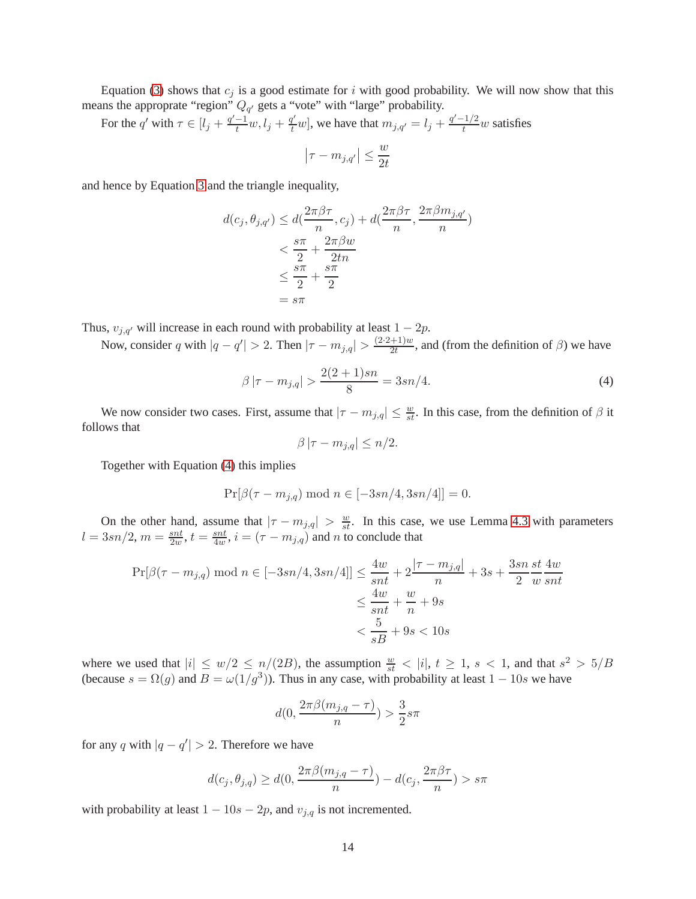Equation [\(3\)](#page-13-0) shows that  $c_j$  is a good estimate for i with good probability. We will now show that this means the approprate "region"  $Q_{q'}$  gets a "vote" with "large" probability.

For the q' with  $\tau \in [l_j + \frac{q'-1}{t}w, l_j + \frac{q'}{t}w]$ , we have that  $m_{j,q'} = l_j + \frac{q'-1/2}{t}w$  satisfies

$$
\left|\tau-m_{j,q'}\right| \le \frac{w}{2t}
$$

and hence by Equation [3](#page-13-0) and the triangle inequality,

$$
d(c_j, \theta_{j,q'}) \le d(\frac{2\pi\beta\tau}{n}, c_j) + d(\frac{2\pi\beta\tau}{n}, \frac{2\pi\beta m_{j,q'}}{n})
$$
  

$$
< \frac{s\pi}{2} + \frac{2\pi\beta w}{2tn}
$$
  

$$
\le \frac{s\pi}{2} + \frac{s\pi}{2}
$$
  

$$
= s\pi
$$

Thus,  $v_{j,q'}$  will increase in each round with probability at least  $1 - 2p$ .

Now, consider q with  $|q - q'| > 2$ . Then  $|\tau - m_{j,q}| > \frac{(2 \cdot 2 + 1)w}{2t}$  $\frac{+1}{2t}$ , and (from the definition of  $\beta$ ) we have

<span id="page-14-0"></span>
$$
\beta |\tau - m_{j,q}| > \frac{2(2+1)sn}{8} = 3sn/4.
$$
 (4)

We now consider two cases. First, assume that  $|\tau - m_{j,q}| \leq \frac{w}{st}$ . In this case, from the definition of  $\beta$  it follows that

$$
\beta |\tau - m_{j,q}| \leq n/2.
$$

Together with Equation [\(4\)](#page-14-0) this implies

$$
Pr[\beta(\tau - m_{j,q}) \mod n \in [-3sn/4, 3sn/4]] = 0.
$$

On the other hand, assume that  $|\tau - m_{j,q}| > \frac{w}{st}$ . In this case, we use Lemma [4.3](#page-12-1) with parameters  $l = 3sn/2, m = \frac{snt}{2m}$  $\frac{\sin t}{2w}$ ,  $t = \frac{\sin t}{4w}$  $\frac{snt}{4w}$ ,  $i = (\tau - m_{j,q})$  and n to conclude that

$$
\Pr[\beta(\tau - m_{j,q}) \mod n \in [-3sn/4, 3sn/4]] \le \frac{4w}{snt} + 2\frac{|\tau - m_{j,q}|}{n} + 3s + \frac{3sn}{2}\frac{st}{w}\frac{4w}{snt}
$$
  

$$
\le \frac{4w}{snt} + \frac{w}{n} + 9s
$$
  

$$
< \frac{5}{sB} + 9s < 10s
$$

where we used that  $|i| \le w/2 \le n/(2B)$ , the assumption  $\frac{w}{st} < |i|$ ,  $t \ge 1$ ,  $s < 1$ , and that  $s^2 > 5/B$ (because  $s = \Omega(g)$  and  $B = \omega(1/g^3)$ ). Thus in any case, with probability at least  $1 - 10s$  we have

$$
d(0, \frac{2\pi\beta(m_{j,q} - \tau)}{n}) > \frac{3}{2}s\pi
$$

for any q with  $|q - q'| > 2$ . Therefore we have

$$
d(c_j, \theta_{j,q}) \ge d(0, \frac{2\pi\beta(m_{j,q} - \tau)}{n}) - d(c_j, \frac{2\pi\beta\tau}{n}) > s\pi
$$

with probability at least  $1 - 10s - 2p$ , and  $v_{j,q}$  is not incremented.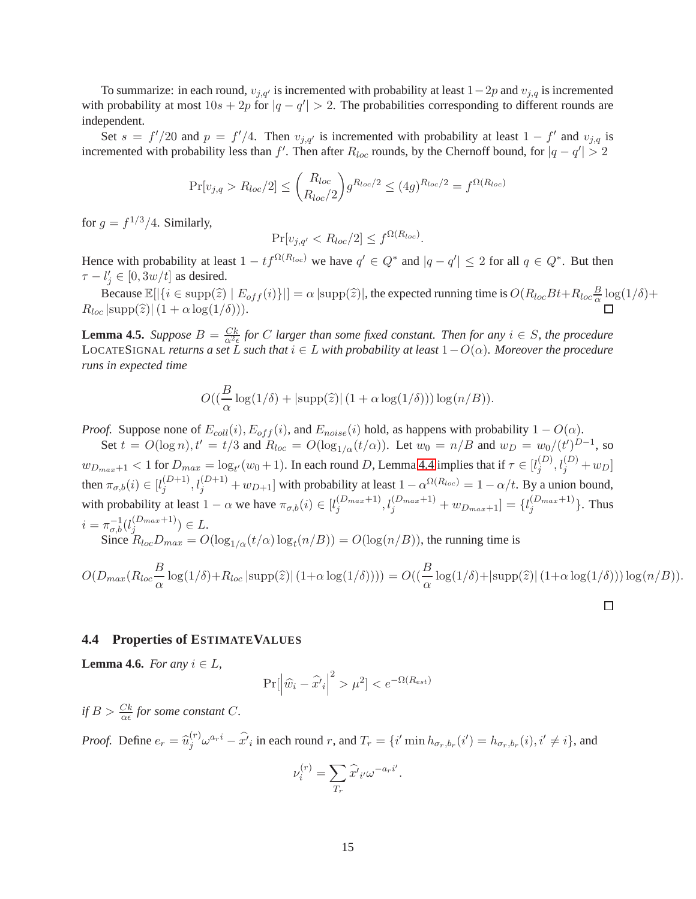To summarize: in each round,  $v_{j,q'}$  is incremented with probability at least  $1-2p$  and  $v_{j,q}$  is incremented with probability at most  $10s + 2p$  for  $|q - q'| > 2$ . The probabilities corresponding to different rounds are independent.

Set  $s = f'/20$  and  $p = f'/4$ . Then  $v_{j,q'}$  is incremented with probability at least  $1 - f'$  and  $v_{j,q}$  is incremented with probability less than  $f'$ . Then after  $R_{loc}$  rounds, by the Chernoff bound, for  $|q - q'| > 2$ 

$$
Pr[v_{j,q} > R_{loc}/2] \le {R_{loc}\choose R_{loc}/2} g^{R_{loc}/2} \le (4g)^{R_{loc}/2} = f^{\Omega(R_{loc})}
$$

for  $g = f^{1/3}/4$ . Similarly,

$$
\Pr[v_{j,q'} < R_{loc}/2] \le f^{\Omega(R_{loc})}.
$$

Hence with probability at least  $1 - tf^{\Omega(R_{loc})}$  we have  $q' \in Q^*$  and  $|q - q'| \leq 2$  for all  $q \in Q^*$ . But then  $\tau - l'_j \in [0, 3w/t]$  as desired.

Because  $\mathbb{E}[|\{i \in \text{supp}(\hat{z}) \mid E_{off}(i)\}|] = \alpha |\text{supp}(\hat{z})|$ , the expected running time is  $O(R_{loc}Bt + R_{loc}\frac{B}{\alpha})$  $\frac{\beta}{\alpha} \log(1/\delta) +$  $R_{loc}$  |supp $(\widehat{z})$ |(1 +  $\alpha$  log(1/ $\delta$ ))).

<span id="page-15-1"></span>**Lemma 4.5.** *Suppose*  $B = \frac{Ck}{\alpha^2 \epsilon}$  *for C larger than some fixed constant. Then for any*  $i \in S$ *, the procedure* LOCATESIGNAL *returns a set* L *such that* i ∈ L *with probability at least* 1−O(α)*. Moreover the procedure runs in expected time*

$$
O((\frac{B}{\alpha}\log(1/\delta) + |\text{supp}(\widehat{z})| (1 + \alpha \log(1/\delta))) \log(n/B)).
$$

*Proof.* Suppose none of  $E_{coll}(i)$ ,  $E_{off}(i)$ , and  $E_{noise}(i)$  hold, as happens with probability  $1 - O(\alpha)$ .

Set  $t = O(\log n)$ ,  $t' = t/3$  and  $R_{loc} = O(\log_{1/\alpha}(t/\alpha))$ . Let  $w_0 = n/B$  and  $w_D = w_0/(t')^{D-1}$ , so  $w_{D_{max}+1} < 1$  for  $D_{max} = \log_{t'}(w_0+1)$ . In each round  $D$ , Lemma [4.4](#page-13-1) implies that if  $\tau \in [l_j^{(D)}]$  $j^{(D)}, l_j^{(D)} + w_D$ then  $\pi_{\sigma,b}(i) \in [l_j^{(D+1)}]$  $j_j^{(D+1)}, l_j^{(D+1)} + w_{D+1}$  with probability at least  $1 - \alpha^{\Omega(R_{loc})} = 1 - \alpha/t$ . By a union bound, with probability at least  $1 - \alpha$  we have  $\pi_{\sigma,b}(i) \in [l_j^{(D_{max}+1)}]$  $\{(\frac{D_{max}+1}{j}, l_j^{(D_{max}+1)} + w_{D_{max}+1}] = \{l_j^{(D_{max}+1)}\}$  $\{U_{max}+1}\}$ . Thus  $i = \pi_{\sigma,b}^{-1}(l_j^{(D_{max}+1)})$  $j^{(Dmax+1)}) \in L.$ Since  $R_{loc}D_{max} = O(\log_{1/\alpha}(t/\alpha)\log_t(n/B)) = O(\log(n/B))$ , the running time is

$$
O(D_{max}(R_{loc}\frac{B}{\alpha}\log(1/\delta)+R_{loc}|\text{supp}(\hat{z})|\left(1+\alpha\log(1/\delta)\right))\right)=O((\frac{B}{\alpha}\log(1/\delta)+|\text{supp}(\hat{z})|\left(1+\alpha\log(1/\delta)\right))\log(n/B)).
$$

#### **4.4 Properties of ESTIMATEVALUES**

<span id="page-15-0"></span>**Lemma 4.6.** *For any*  $i \in L$ ,

$$
\Pr[\left|\hat{w}_i - \hat{x'}_i\right|^2 > \mu^2] < e^{-\Omega(R_{est})}
$$

*if*  $B > \frac{Ck}{\alpha \epsilon}$  for some constant C.

*Proof.* Define  $e_r = \hat{u}_j^{(r)} \omega^{a_r i} - \hat{x'}_i$  in each round r, and  $T_r = \{i' \min h_{\sigma_r, b_r}(i') = h_{\sigma_r, b_r}(i), i' \neq i\}$ , and

$$
\nu_i^{(r)} = \sum_{T_r} \hat{x'}_{i'} \omega^{-a_r i'}.
$$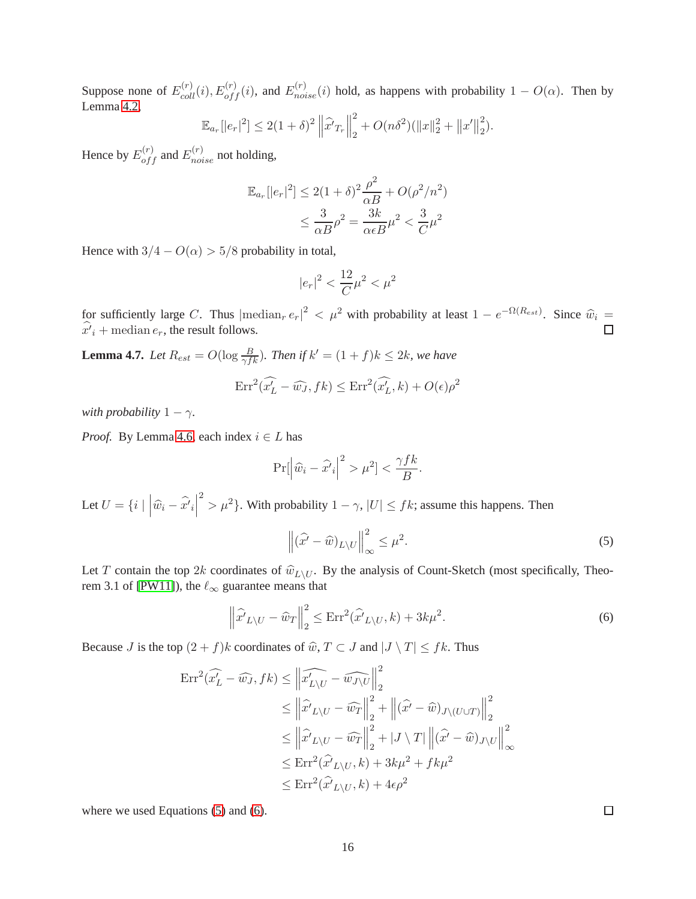Suppose none of  $E_{coll}^{(r)}(i), E_{off}^{(r)}(i)$ , and  $E_{noise}^{(r)}(i)$  hold, as happens with probability  $1 - O(\alpha)$ . Then by Lemma [4.2,](#page-12-0)

$$
\mathbb{E}_{a_r}[|e_r|^2] \le 2(1+\delta)^2 \left\|\widehat{x'}_{T_r}\right\|_2^2 + O(n\delta^2)(\|x\|_2^2 + \|x'\|_2^2).
$$

Hence by  $E_{off}^{(r)}$  and  $E_{noise}^{(r)}$  not holding,

$$
\mathbb{E}_{a_r}[|e_r|^2] \le 2(1+\delta)^2 \frac{\rho^2}{\alpha B} + O(\rho^2/n^2)
$$

$$
\le \frac{3}{\alpha B} \rho^2 = \frac{3k}{\alpha \epsilon B} \mu^2 < \frac{3}{C} \mu^2
$$

Hence with  $3/4 - O(\alpha) > 5/8$  probability in total,

$$
|e_r|^2 < \frac{12}{C} \mu^2 < \mu^2
$$

for sufficiently large C. Thus  $|\text{median}_r e_r|^2 < \mu^2$  with probability at least  $1 - e^{-\Omega(R_{est})}$ . Since  $\hat{w}_i = \hat{w}_i$  $x'_{i}$  + median  $e_{r}$ , the result follows.

<span id="page-16-2"></span>**Lemma 4.7.** *Let*  $R_{est} = O(\log \frac{B}{\gamma f k})$ *. Then if*  $k' = (1 + f)k \leq 2k$ *, we have*  $\text{Err}^2(\hat{x'_L} - \hat{w_J}, fk) \leq \text{Err}^2(\hat{x'_L}, k) + O(\epsilon)\rho^2$ 

*with probability*  $1 - \gamma$ *.* 

*Proof.* By Lemma [4.6,](#page-15-0) each index  $i \in L$  has

$$
\Pr[\left|\hat{w}_i - \hat{x'}_i\right|^2 > \mu^2] < \frac{\gamma f k}{B}.
$$

Let  $U = \{i \mid \left| \widehat{w}_i - \widehat{x'}_i \right|$ <sup>2</sup> >  $\mu^2$ }. With probability  $1 - \gamma$ ,  $|U| \leq f k$ ; assume this happens. Then

<span id="page-16-0"></span>
$$
\left\|(\widehat{x'} - \widehat{w})_{L \setminus U}\right\|_{\infty}^{2} \leq \mu^{2}.
$$
\n(5)

Let T contain the top 2k coordinates of  $\hat{w}_{L\setminus U}$ . By the analysis of Count-Sketch (most specifically, Theo-rem 3.1 of [\[PW11\]](#page-26-12)), the  $\ell_{\infty}$  guarantee means that

<span id="page-16-1"></span>
$$
\left\|\widehat{x'}_{L\setminus U} - \widehat{w}_T\right\|_2^2 \le \text{Err}^2(\widehat{x'}_{L\setminus U}, k) + 3k\mu^2. \tag{6}
$$

Because J is the top  $(2 + f)k$  coordinates of  $\widehat{w}, T \subset J$  and  $|J \setminus T| \leq fk$ . Thus

$$
\begin{split} \text{Err}^2(\widehat{x_L'} - \widehat{w_J}, fk) &\leq \left\| \widehat{x_{L\setminus U}'} - \widehat{w_{J\setminus U}} \right\|_2^2 \\ &\leq \left\| \widehat{x'}_{L\setminus U} - \widehat{w_T} \right\|_2^2 + \left\| (\widehat{x'} - \widehat{w})_{J\setminus (U \cup T)} \right\|_2^2 \\ &\leq \left\| \widehat{x'}_{L\setminus U} - \widehat{w_T} \right\|_2^2 + |J\setminus T| \left\| (\widehat{x'} - \widehat{w})_{J\setminus U} \right\|_\infty^2 \\ &\leq \text{Err}^2(\widehat{x'}_{L\setminus U}, k) + 3k\mu^2 + f k\mu^2 \\ &\leq \text{Err}^2(\widehat{x'}_{L\setminus U}, k) + 4\epsilon\rho^2 \end{split}
$$

where we used Equations [\(5\)](#page-16-0) and [\(6\)](#page-16-1).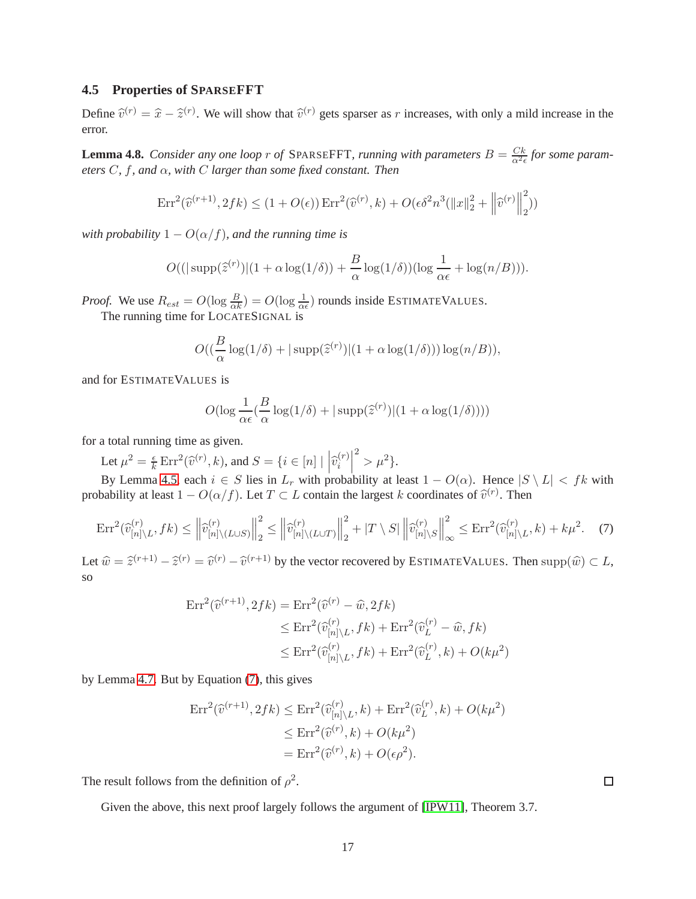### **4.5 Properties of SPARSEFFT**

Define  $\hat{v}^{(r)} = \hat{x} - \hat{z}^{(r)}$ . We will show that  $\hat{v}^{(r)}$  gets sparser as r increases, with only a mild increase in the error.

<span id="page-17-1"></span>**Lemma 4.8.** *Consider any one loop r of* SPARSEFFT, *running with parameters*  $B = \frac{Ck}{\alpha^2 \epsilon}$  *for some parameters* C*,* f*, and* α*, with* C *larger than some fixed constant. Then*

$$
\operatorname{Err}^2(\widehat{v}^{(r+1)}, 2fk) \le (1 + O(\epsilon)) \operatorname{Err}^2(\widehat{v}^{(r)}, k) + O(\epsilon \delta^2 n^3 (\|x\|_2^2 + \left\|\widehat{v}^{(r)}\right\|_2^2))
$$

*with probability*  $1 - O(\alpha/f)$ *, and the running time is* 

$$
O((|\operatorname{supp}(\hat{z}^{(r)})|(1+\alpha\log(1/\delta))+\frac{B}{\alpha}\log(1/\delta))(\log\frac{1}{\alpha\epsilon}+\log(n/B))).
$$

*Proof.* We use  $R_{est} = O(\log \frac{B}{\alpha k}) = O(\log \frac{1}{\alpha \epsilon})$  rounds inside ESTIMATEVALUES.

The running time for LOCATESIGNAL is

$$
O((\frac{B}{\alpha}\log(1/\delta) + |\operatorname{supp}(\widehat{z}^{(r)})|(1+\alpha\log(1/\delta)))\log(n/B)),
$$

and for ESTIMATEVALUES is

<span id="page-17-0"></span>
$$
O(\log \frac{1}{\alpha \epsilon} (\frac{B}{\alpha} \log(1/\delta) + |\operatorname{supp}(\hat{z}^{(r)})| (1 + \alpha \log(1/\delta))))
$$

for a total running time as given.

Let  $\mu^2 = \frac{\epsilon}{k}$  $\frac{\epsilon}{k} \operatorname{Err}^2(\widehat{v}^{(r)}, k)$ , and  $S = \{i \in [n] \mid \left| \widehat{v}_i^{(r)} \right|$ i  $2^{2} > \mu^{2}$ .

By Lemma [4.5,](#page-15-1) each  $i \in S$  lies in  $L_r$  with probability at least  $1 - O(\alpha)$ . Hence  $|S \setminus L| < fk$  with probability at least  $1 - O(\alpha/f)$ . Let  $T \subset L$  contain the largest k coordinates of  $\hat{v}^{(r)}$ . Then

$$
\operatorname{Err}^2(\widehat{v}_{[n]\backslash L}^{(r)}, fk) \le \left\| \widehat{v}_{[n]\backslash (L\cup S)}^{(r)} \right\|_2^2 \le \left\| \widehat{v}_{[n]\backslash (L\cup T)}^{(r)} \right\|_2^2 + \left| T \setminus S \right\| \left\| \widehat{v}_{[n]\backslash S}^{(r)} \right\|_\infty^2 \le \operatorname{Err}^2(\widehat{v}_{[n]\backslash L}^{(r)}, k) + k\mu^2. \tag{7}
$$

Let  $\hat{w} = \hat{z}^{(r+1)} - \hat{z}^{(r)} = \hat{v}^{(r)} - \hat{v}^{(r+1)}$  by the vector recovered by ESTIMATEVALUES. Then  $\text{supp}(\hat{w}) \subset L$ , so

$$
\begin{aligned} \text{Err}^2(\widehat{v}^{(r+1)}, 2fk) &= \text{Err}^2(\widehat{v}^{(r)} - \widehat{w}, 2fk) \\ &\leq \text{Err}^2(\widehat{v}_{[n]\backslash L}^{(r)}, fk) + \text{Err}^2(\widehat{v}_L^{(r)} - \widehat{w}, fk) \\ &\leq \text{Err}^2(\widehat{v}_{[n]\backslash L}^{(r)}, fk) + \text{Err}^2(\widehat{v}_L^{(r)}, k) + O(k\mu^2) \end{aligned}
$$

by Lemma [4.7.](#page-16-2) But by Equation [\(7\)](#page-17-0), this gives

$$
\begin{aligned} \text{Err}^2(\widehat{v}^{(r+1)}, 2fk) &\leq \text{Err}^2(\widehat{v}_{[n]\setminus L}^{(r)}, k) + \text{Err}^2(\widehat{v}_L^{(r)}, k) + O(k\mu^2) \\ &\leq \text{Err}^2(\widehat{v}^{(r)}, k) + O(k\mu^2) \\ &= \text{Err}^2(\widehat{v}^{(r)}, k) + O(\epsilon \rho^2). \end{aligned}
$$

The result follows from the definition of  $\rho^2$ .

Given the above, this next proof largely follows the argument of [\[IPW11\]](#page-26-13), Theorem 3.7.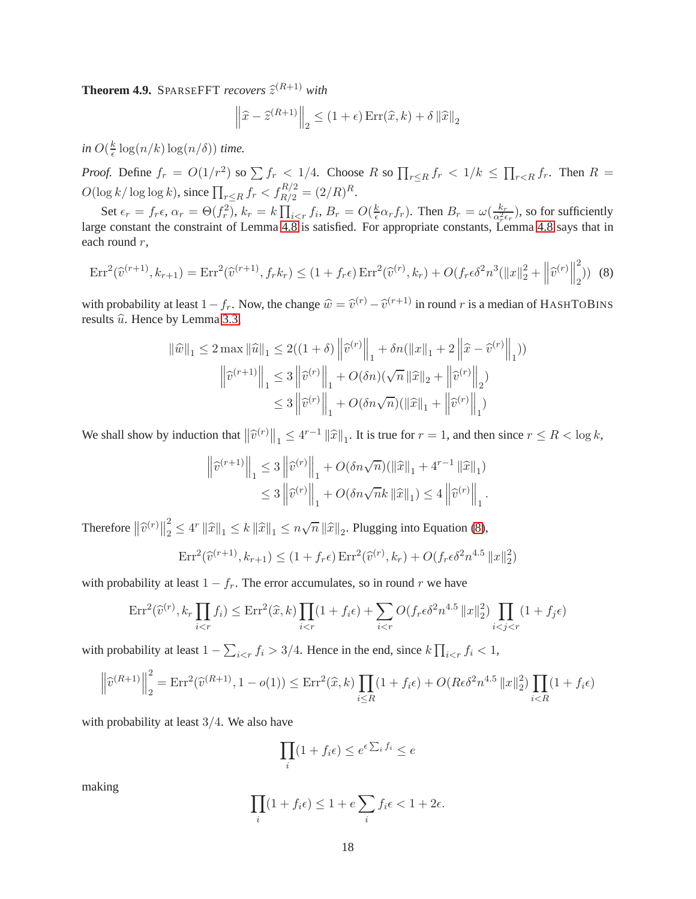<span id="page-18-0"></span>**Theorem 4.9.** SPARSEFFT *recovers*  $\hat{z}^{(R+1)}$  *with* 

<span id="page-18-1"></span>
$$
\left\|\widehat{x} - \widehat{z}^{(R+1)}\right\|_2 \le (1+\epsilon) \operatorname{Err}(\widehat{x}, k) + \delta \left\|\widehat{x}\right\|_2
$$

in  $O(\frac{k}{\epsilon})$  $\frac{k}{\epsilon} \log(n/k) \log(n/\delta)$  *time.* 

*Proof.* Define  $f_r = O(1/r^2)$  so  $\sum f_r < 1/4$ . Choose R so  $\prod_{r \leq R} f_r < 1/k \leq \prod_{r \leq R} f_r$ . Then  $R =$  $O(\log k / \log \log k)$ , since  $\prod_{r \le R} f_r < f_{R/2}^{R/2} = (2/R)^R$ .

Set  $\epsilon_r = f_r \epsilon$ ,  $\alpha_r = \Theta(f_r^2)$ ,  $k_r = k \prod_{i \lt r} f_i$ ,  $B_r = O(\frac{k}{\epsilon})$  $\frac{k}{\epsilon} \alpha_r f_r$ ). Then  $B_r = \omega(\frac{k_r}{\alpha_r^2 \epsilon_r})$ , so for sufficiently large constant the constraint of Lemma [4.8](#page-17-1) is satisfied. For appropriate constants, Lemma [4.8](#page-17-1) says that in each round r,

$$
\text{Err}^2(\widehat{v}^{(r+1)}, k_{r+1}) = \text{Err}^2(\widehat{v}^{(r+1)}, f_r k_r) \le (1 + f_r \epsilon) \text{Err}^2(\widehat{v}^{(r)}, k_r) + O(f_r \epsilon \delta^2 n^3 (\|x\|_2^2 + \left\|\widehat{v}^{(r)}\right\|_2^2))
$$
(8)

with probability at least  $1-f_r$ . Now, the change  $\hat{w} = \hat{v}^{(r)} - \hat{v}^{(r+1)}$  in round r is a median of HASHTOBINS results  $\hat{u}$ . Hence by Lemma [3.3,](#page-5-0)

$$
\begin{aligned} \|\widehat{w}\|_{1} &\leq 2 \max \|\widehat{u}\|_{1} \leq 2((1+\delta) \left\|\widehat{v}^{(r)}\right\|_{1} + \delta n(\|x\|_{1} + 2 \left\|\widehat{x} - \widehat{v}^{(r)}\right\|_{1})) \\ &\left\|\widehat{v}^{(r+1)}\right\|_{1} \leq 3 \left\|\widehat{v}^{(r)}\right\|_{1} + O(\delta n)(\sqrt{n} \left\|\widehat{x}\right\|_{2} + \left\|\widehat{v}^{(r)}\right\|_{2}) \\ &\leq 3 \left\|\widehat{v}^{(r)}\right\|_{1} + O(\delta n \sqrt{n})(\|\widehat{x}\|_{1} + \left\|\widehat{v}^{(r)}\right\|_{1}) \end{aligned}
$$

We shall show by induction that  $\|\hat{v}^{(r)}\|_1 \leq 4^{r-1} \|\hat{x}\|_1$ . It is true for  $r = 1$ , and then since  $r \leq R < \log k$ ,

$$
\begin{aligned} \left\| \widehat v^{(r+1)} \right\|_1 &\leq 3 \left\| \widehat v^{(r)} \right\|_1 + O(\delta n \sqrt{n}) (\left\| \widehat x \right\|_1 + 4^{r-1} \left\| \widehat x \right\|_1) \\ &\leq 3 \left\| \widehat v^{(r)} \right\|_1 + O(\delta n \sqrt{n}k \left\| \widehat x \right\|_1) \leq 4 \left\| \widehat v^{(r)} \right\|_1. \end{aligned}
$$

Therefore  $\left\|\widehat{v}^{(r)}\right\|_2^2$  $\frac{2}{2} \leq 4^r \|\widehat{x}\|_1 \leq k \|\widehat{x}\|_1 \leq n\sqrt{n} \|\widehat{x}\|_2$ . Plugging into Equation [\(8\)](#page-18-1),

$$
Err^2(\hat{v}^{(r+1)}, k_{r+1}) \le (1 + f_r \epsilon) \cdot \text{Err}^2(\hat{v}^{(r)}, k_r) + O(f_r \epsilon \delta^2 n^{4.5} \|x\|_2^2)
$$

with probability at least  $1 - f_r$ . The error accumulates, so in round r we have

$$
\mathrm{Err}^2(\widehat{v}^{(r)}, k_r \prod_{i < r} f_i) \le \mathrm{Err}^2(\widehat{x}, k) \prod_{i < r} (1 + f_i \epsilon) + \sum_{i < r} O(f_r \epsilon \delta^2 n^{4.5} \|x\|_2^2) \prod_{i < j < r} (1 + f_j \epsilon)
$$

with probability at least  $1 - \sum_{i \leq r} f_i > 3/4$ . Hence in the end, since  $k \prod_{i \leq r} f_i < 1$ ,

$$
\left\|\hat{v}^{(R+1)}\right\|_{2}^{2} = \text{Err}^{2}(\hat{v}^{(R+1)}, 1 - o(1)) \le \text{Err}^{2}(\hat{x}, k) \prod_{i \le R} (1 + f_{i}\epsilon) + O(R\epsilon\delta^{2}n^{4.5} \|x\|_{2}^{2}) \prod_{i < R} (1 + f_{i}\epsilon)
$$

with probability at least  $3/4$ . We also have

$$
\prod_i (1 + f_i \epsilon) \le e^{\epsilon \sum_i f_i} \le e
$$

making

$$
\prod_{i} (1 + f_i \epsilon) \le 1 + e \sum_{i} f_i \epsilon < 1 + 2\epsilon.
$$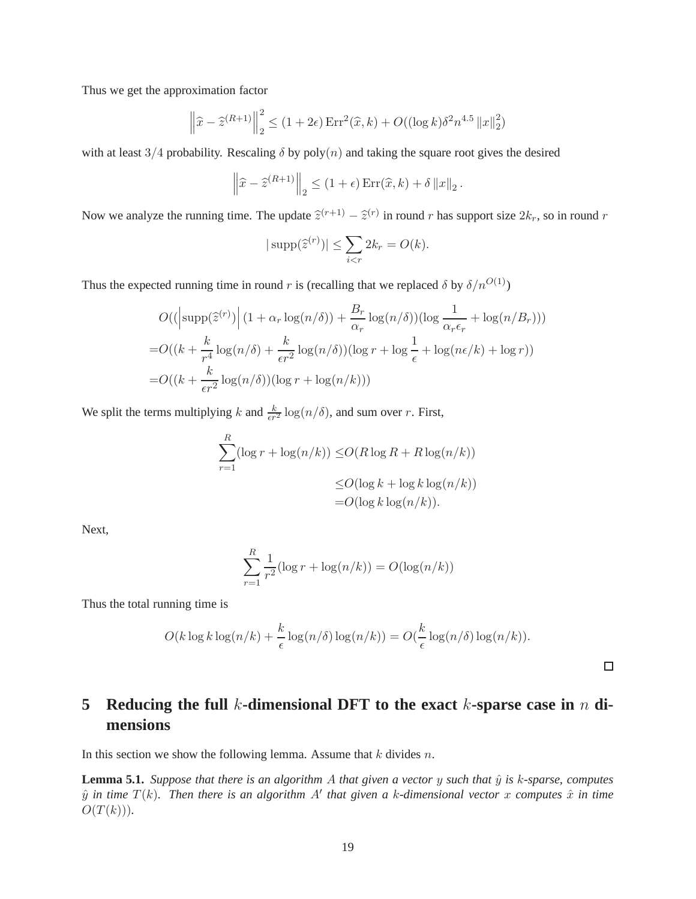Thus we get the approximation factor

$$
\left\|\hat{x} - \hat{z}^{(R+1)}\right\|_{2}^{2} \le (1+2\epsilon) \operatorname{Err}^{2}(\hat{x}, k) + O((\log k)\delta^{2} n^{4.5} \|x\|_{2}^{2})
$$

with at least 3/4 probability. Rescaling  $\delta$  by poly(n) and taking the square root gives the desired

$$
\left\|\widehat{x} - \widehat{z}^{(R+1)}\right\|_2 \le (1+\epsilon) \operatorname{Err}(\widehat{x}, k) + \delta \left\|x\right\|_2.
$$

Now we analyze the running time. The update  $\hat{z}^{(r+1)} - \hat{z}^{(r)}$  in round r has support size  $2k_r$ , so in round r

$$
|\operatorname{supp}(\widehat{z}^{(r)})| \le \sum_{i < r} 2k_r = O(k).
$$

Thus the expected running time in round r is (recalling that we replaced  $\delta$  by  $\delta/n^{O(1)}$ )

$$
O((\left|\text{supp}(\hat{z}^{(r)})\right|(1+\alpha_r \log(n/\delta)) + \frac{B_r}{\alpha_r} \log(n/\delta))(\log \frac{1}{\alpha_r \epsilon_r} + \log(n/B_r)))
$$
  
= 
$$
O((k + \frac{k}{r^4} \log(n/\delta) + \frac{k}{\epsilon r^2} \log(n/\delta))(\log r + \log \frac{1}{\epsilon} + \log(n\epsilon/k) + \log r))
$$
  
= 
$$
O((k + \frac{k}{\epsilon r^2} \log(n/\delta))(\log r + \log(n/k)))
$$

We split the terms multiplying k and  $\frac{k}{\epsilon r^2} \log(n/\delta)$ , and sum over r. First,

$$
\sum_{r=1}^{R} (\log r + \log(n/k)) \le O(R \log R + R \log(n/k))
$$
  

$$
\le O(\log k + \log k \log(n/k))
$$
  

$$
= O(\log k \log(n/k)).
$$

Next,

$$
\sum_{r=1}^{R} \frac{1}{r^2} (\log r + \log(n/k)) = O(\log(n/k))
$$

Thus the total running time is

$$
O(k \log k \log(n/k) + \frac{k}{\epsilon} \log(n/\delta) \log(n/k)) = O(\frac{k}{\epsilon} \log(n/\delta) \log(n/k)).
$$

 $\Box$ 

# <span id="page-19-0"></span>**5 Reducing the full** k**-dimensional DFT to the exact** k**-sparse case in** n **dimensions**

In this section we show the following lemma. Assume that  $k$  divides  $n$ .

**Lemma 5.1.** *Suppose that there is an algorithm A that given a vector y such that*  $\hat{y}$  *is*  $k$ -*sparse, computes*  $\hat{y}$  *in time*  $T(k)$ . Then there is an algorithm A' that given a k-dimensional vector x computes  $\hat{x}$  in time  $O(T(k))$ .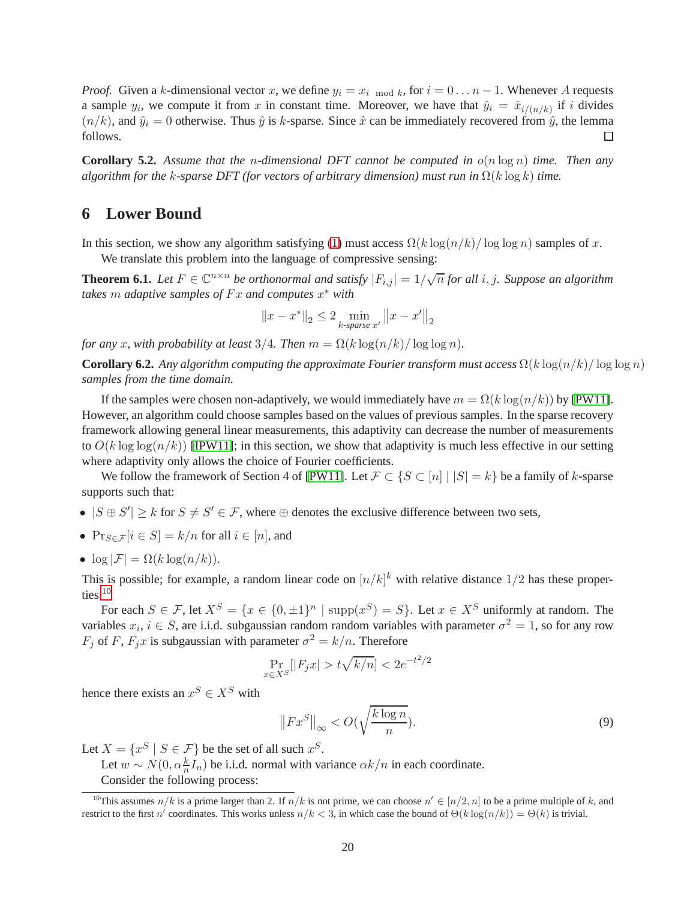*Proof.* Given a k-dimensional vector x, we define  $y_i = x_i \mod k$ , for  $i = 0 \dots n - 1$ . Whenever A requests a sample  $y_i$ , we compute it from x in constant time. Moreover, we have that  $\hat{y}_i = \hat{x}_{i/(n/k)}$  if i divides  $(n/k)$ , and  $\hat{y}_i = 0$  otherwise. Thus  $\hat{y}$  is k-sparse. Since  $\hat{x}$  can be immediately recovered from  $\hat{y}$ , the lemma follows. П

**Corollary 5.2.** *Assume that the* n*-dimensional DFT cannot be computed in* o(n log n) *time. Then any algorithm for the k-sparse DFT (for vectors of arbitrary dimension) must run in*  $\Omega(k \log k)$  *time.* 

## **6 Lower Bound**

In this section, we show any algorithm satisfying [\(1\)](#page-1-1) must access  $\Omega(k \log(n/k)/\log \log n)$  samples of x.

We translate this problem into the language of compressive sensing:

<span id="page-20-2"></span>**Theorem 6.1.** Let  $F \in \mathbb{C}^{n \times n}$  be orthonormal and satisfy  $|F_{i,j}| = 1/\sqrt{n}$  for all i, j. Suppose an algorithm *takes* m *adaptive samples of* F x *and computes* x <sup>∗</sup> *with*

$$
||x - x^*||_2 \le 2 \min_{k \text{-sparse } x'} ||x - x'||_2
$$

*for any* x, with probability at least 3/4. Then  $m = \Omega(k \log(n/k) / \log \log n)$ .

**Corollary 6.2.** *Any algorithm computing the approximate Fourier transform must access*  $\Omega(k \log(n/k)/\log \log n)$ *samples from the time domain.*

If the samples were chosen non-adaptively, we would immediately have  $m = \Omega(k \log(n/k))$  by [\[PW11\]](#page-26-12). However, an algorithm could choose samples based on the values of previous samples. In the sparse recovery framework allowing general linear measurements, this adaptivity can decrease the number of measurements to  $O(k \log \log(n/k))$  [\[IPW11\]](#page-26-13); in this section, we show that adaptivity is much less effective in our setting where adaptivity only allows the choice of Fourier coefficients.

We follow the framework of Section 4 of [\[PW11\]](#page-26-12). Let  $\mathcal{F} \subset \{S \subset [n] \mid |S| = k\}$  be a family of k-sparse supports such that:

- $|S \oplus S'| \ge k$  for  $S \ne S' \in \mathcal{F}$ , where  $\oplus$  denotes the exclusive difference between two sets,
- $\Pr_{S \in \mathcal{F}}[i \in S] = k/n$  for all  $i \in [n]$ , and
- $\log |\mathcal{F}| = \Omega(k \log (n/k)).$

This is possible; for example, a random linear code on  $\lfloor n/k \rfloor^k$  with relative distance  $1/2$  has these proper-ties.<sup>[10](#page-20-0)</sup>

For each  $S \in \mathcal{F}$ , let  $X^S = \{x \in \{0, \pm 1\}^n \mid \text{supp}(x^S) = S\}$ . Let  $x \in X^S$  uniformly at random. The variables  $x_i$ ,  $i \in S$ , are i.i.d. subgaussian random random variables with parameter  $\sigma^2 = 1$ , so for any row  $F_j$  of F,  $F_j x$  is subgaussian with parameter  $\sigma^2 = k/n$ . Therefore

$$
\Pr_{x \in X^S} [|F_j x| > t\sqrt{k/n}] < 2e^{-t^2/2}
$$

hence there exists an  $x^S \in X^S$  with

<span id="page-20-1"></span>
$$
\left\| F x^S \right\|_{\infty} < O(\sqrt{\frac{k \log n}{n}}). \tag{9}
$$

Let  $X = \{x^S \mid S \in \mathcal{F}\}\$  be the set of all such  $x^S$ .

Let  $w \sim N(0, \alpha \frac{k}{n} I_n)$  be i.i.d. normal with variance  $\alpha k/n$  in each coordinate.

Consider the following process:

<span id="page-20-0"></span><sup>&</sup>lt;sup>10</sup>This assumes  $n/k$  is a prime larger than 2. If  $n/k$  is not prime, we can choose  $n' \in [n/2, n]$  to be a prime multiple of k, and restrict to the first n' coordinates. This works unless  $n/k < 3$ , in which case the bound of  $\Theta(k \log(n/k)) = \Theta(k)$  is trivial.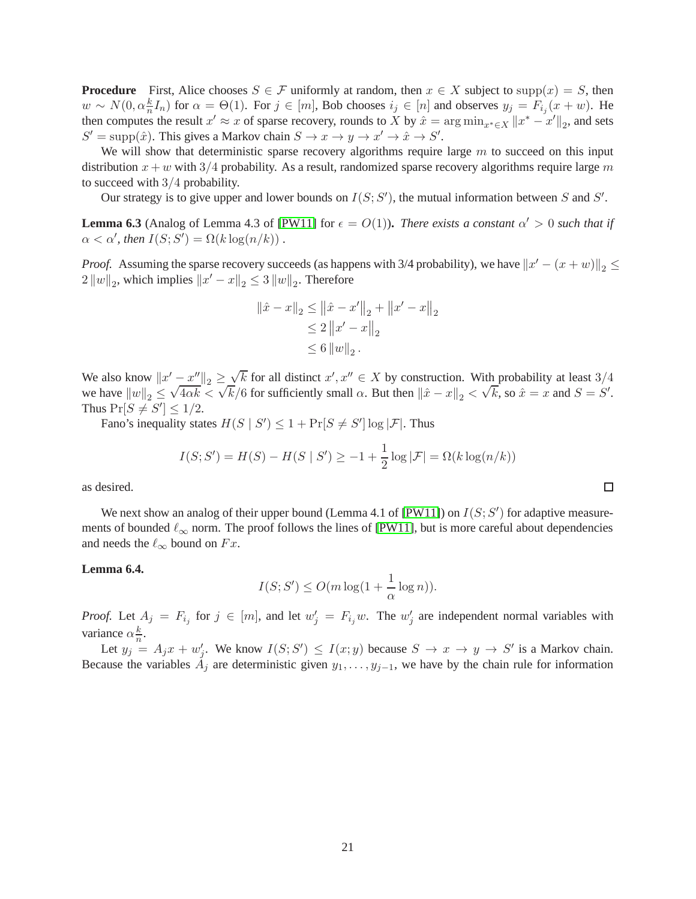**Procedure** First, Alice chooses  $S \in \mathcal{F}$  uniformly at random, then  $x \in X$  subject to supp $(x) = S$ , then  $w \sim N(0, \alpha \frac{k}{n} I_n)$  for  $\alpha = \Theta(1)$ . For  $j \in [m]$ , Bob chooses  $i_j \in [n]$  and observes  $y_j = F_{i_j}(x + w)$ . He then computes the result  $x' \approx x$  of sparse recovery, rounds to X by  $\hat{x} = \arg \min_{x^* \in X} ||x^* - x'||_2$ , and sets  $S' = \text{supp}(\hat{x})$ . This gives a Markov chain  $S \to x \to y \to x' \to \hat{x} \to S'$ .

We will show that deterministic sparse recovery algorithms require large  $m$  to succeed on this input distribution  $x + w$  with 3/4 probability. As a result, randomized sparse recovery algorithms require large m to succeed with 3/4 probability.

Our strategy is to give upper and lower bounds on  $I(S; S')$ , the mutual information between S and S'.

<span id="page-21-0"></span>**Lemma 6.3** (Analog of Lemma 4.3 of [\[PW11\]](#page-26-12) for  $\epsilon = O(1)$ ). *There exists a constant*  $\alpha' > 0$  *such that if*  $\alpha < \alpha'$ , then  $I(S; S') = \Omega(k \log(n/k))$ .

*Proof.* Assuming the sparse recovery succeeds (as happens with 3/4 probability), we have  $||x' - (x + w)||_2 \le$  $2\left\|w\right\|_2$ , which implies  $\left\|x'-x\right\|_2 \leq 3\left\|w\right\|_2$ . Therefore

$$
\|\hat{x} - x\|_2 \le \|\hat{x} - x'\|_2 + \|x' - x\|_2
$$
  
\n
$$
\le 2 \|x' - x\|_2
$$
  
\n
$$
\le 6 \|w\|_2.
$$

We also know  $||x' - x''||_2 \ge \sqrt{k}$  for all distinct  $x', x'' \in X$  by construction. With probability at least 3/4 we have  $||w||_2 \le \sqrt{4\alpha k} < \sqrt{k}/6$  for sufficiently small  $\alpha$ . But then  $||\hat{x} - x||_2 < \sqrt{k}$ , so  $\hat{x} = x$  and  $S = S'$ . Thus  $Pr[S \neq S'] \leq 1/2$ .

Fano's inequality states  $H(S | S') \leq 1 + Pr[S \neq S'] \log |\mathcal{F}|$ . Thus

$$
I(S; S') = H(S) - H(S | S') \ge -1 + \frac{1}{2} \log |\mathcal{F}| = \Omega(k \log (n/k))
$$

as desired.

We next show an analog of their upper bound (Lemma 4.1 of [\[PW11\]](#page-26-12)) on  $I(S; S')$  for adaptive measurements of bounded  $\ell_{\infty}$  norm. The proof follows the lines of [\[PW11\]](#page-26-12), but is more careful about dependencies and needs the  $\ell_{\infty}$  bound on  $Fx$ .

#### <span id="page-21-1"></span>**Lemma 6.4.**

$$
I(S; S') \le O(m \log(1 + \frac{1}{\alpha} \log n)).
$$

*Proof.* Let  $A_j = F_{i_j}$  for  $j \in [m]$ , and let  $w'_j = F_{i_j}w$ . The  $w'_j$  are independent normal variables with variance  $\alpha \frac{k}{n}$ .

Let  $y_j = A_j x + w'_j$ . We know  $I(S; S') \leq I(x; y)$  because  $S \to x \to y \to S'$  is a Markov chain. Because the variables  $A_j$  are deterministic given  $y_1, \ldots, y_{j-1}$ , we have by the chain rule for information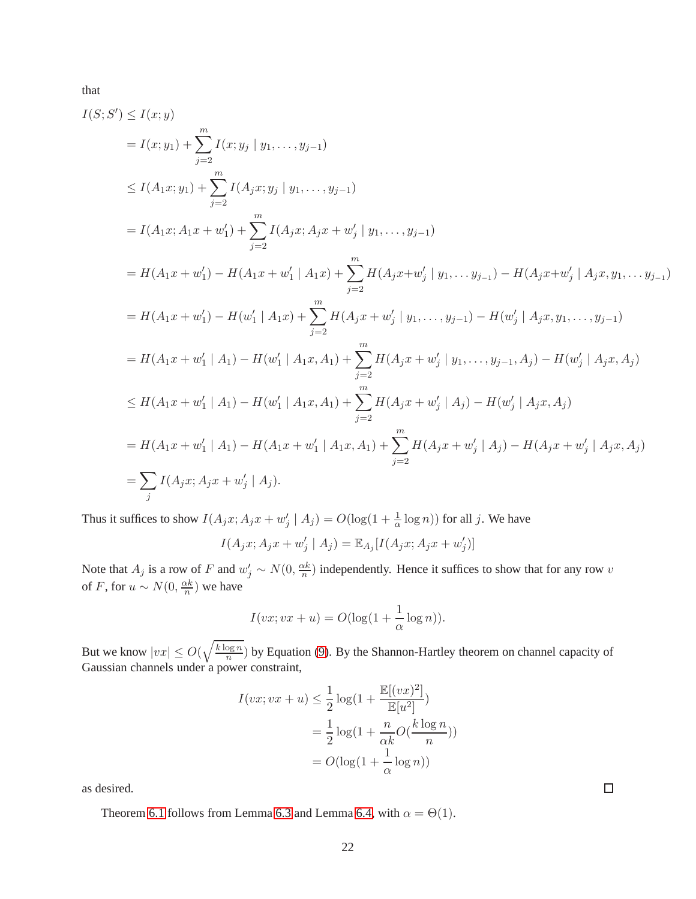that

$$
I(S; S') \leq I(x; y)
$$
  
\n
$$
= I(x; y_1) + \sum_{j=2}^{m} I(x; y_j | y_1, \dots, y_{j-1})
$$
  
\n
$$
\leq I(A_1x; y_1) + \sum_{j=2}^{m} I(A_jx; y_j | y_1, \dots, y_{j-1})
$$
  
\n
$$
= I(A_1x; A_1x + w'_1) + \sum_{j=2}^{m} I(A_jx; A_jx + w'_j | y_1, \dots, y_{j-1})
$$
  
\n
$$
= H(A_1x + w'_1) - H(A_1x + w'_1 | A_1x) + \sum_{j=2}^{m} H(A_jx + w'_j | y_1, \dots, y_{j-1}) - H(A_jx + w'_j | A_jx, y_1, \dots, y_{j-1})
$$
  
\n
$$
= H(A_1x + w'_1) - H(w'_1 | A_1x) + \sum_{j=2}^{m} H(A_jx + w'_j | y_1, \dots, y_{j-1}) - H(w'_j | A_jx, y_1, \dots, y_{j-1})
$$
  
\n
$$
= H(A_1x + w'_1 | A_1) - H(w'_1 | A_1x, A_1) + \sum_{j=2}^{m} H(A_jx + w'_j | y_1, \dots, y_{j-1}, A_j) - H(w'_j | A_jx, A_j)
$$
  
\n
$$
\leq H(A_1x + w'_1 | A_1) - H(w'_1 | A_1x, A_1) + \sum_{j=2}^{m} H(A_jx + w'_j | A_j) - H(w'_j | A_jx, A_j)
$$
  
\n
$$
= H(A_1x + w'_1 | A_1) - H(A_1x + w'_1 | A_1x, A_1) + \sum_{j=2}^{m} H(A_jx + w'_j | A_j) - H(A_jx + w'_j | A_jx, A_j)
$$
  
\n
$$
= \sum_{j} I(A_jx; A_jx + w'_j | A_j).
$$

Thus it suffices to show  $I(A_jx; A_jx + w'_j \mid A_j) = O(\log(1 + \frac{1}{\alpha}\log n))$  for all j. We have

$$
I(A_j x; A_j x + w'_j | A_j) = \mathbb{E}_{A_j}[I(A_j x; A_j x + w'_j)]
$$

Note that  $A_j$  is a row of F and  $w'_j \sim N(0, \frac{\alpha k}{n})$  $\frac{\partial x}{\partial n}$ ) independently. Hence it suffices to show that for any row v of F, for  $u \sim N(0, \frac{\alpha k}{n})$  $\frac{\alpha k}{n}$ ) we have

$$
I(vx; vx + u) = O(\log(1 + \frac{1}{\alpha}\log n)).
$$

But we know  $|vx| \le O(\sqrt{\frac{k \log n}{n}})$  $\frac{\log n}{n}$ ) by Equation [\(9\)](#page-20-1). By the Shannon-Hartley theorem on channel capacity of Gaussian channels under a power constraint,

$$
I(vx; vx + u) \leq \frac{1}{2} \log\left(1 + \frac{\mathbb{E}[(vx)^2]}{\mathbb{E}[u^2]}\right)
$$
  
= 
$$
\frac{1}{2} \log\left(1 + \frac{n}{\alpha k} O(\frac{k \log n}{n})\right)
$$
  
= 
$$
O(\log(1 + \frac{1}{\alpha} \log n))
$$

as desired.

Theorem [6.1](#page-20-2) follows from Lemma [6.3](#page-21-0) and Lemma [6.4,](#page-21-1) with  $\alpha = \Theta(1)$ .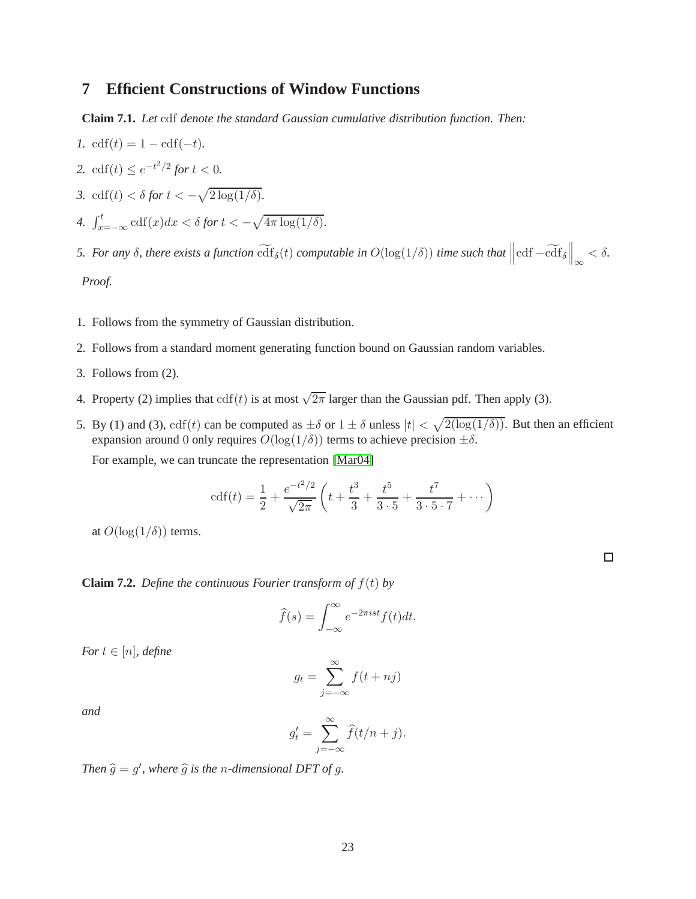## <span id="page-23-0"></span>**7 Efficient Constructions of Window Functions**

<span id="page-23-1"></span>**Claim 7.1.** *Let* cdf *denote the standard Gaussian cumulative distribution function. Then:*

*1.* cdf $(t) = 1 - \text{cdf}(-t)$ . 2.  $\text{cdf}(t) \leq e^{-t^2/2}$  *for*  $t < 0$ *. 3.* cdf(t) <  $\delta$  *for*  $t < -\sqrt{2 \log(1/\delta)}$ . 4.  $\int_{x=-\infty}^{t} \operatorname{cdf}(x)dx < \delta$  for  $t < -\sqrt{4\pi \log(1/\delta)}$ . *5.* For any  $\delta$ , there exists a function  $\widetilde{\mathrm{cdf}}_{\delta}(t)$  computable in  $O(\log(1/\delta))$  time such that  $\left\|\mathrm{cdf}-\widetilde{\mathrm{cdf}}_{\delta}\right\|_{\infty} < \delta$ .

*Proof.*

- 1. Follows from the symmetry of Gaussian distribution.
- 2. Follows from a standard moment generating function bound on Gaussian random variables.
- 3. Follows from (2).
- 4. Property (2) implies that  $\text{cdf}(t)$  is at most  $\sqrt{2\pi}$  larger than the Gaussian pdf. Then apply (3).
- 5. By (1) and (3),  $\text{cdf}(t)$  can be computed as  $\pm \delta$  or  $1 \pm \delta$  unless  $|t| < \sqrt{2(\log(1/\delta))}$ . But then an efficient expansion around 0 only requires  $O(log(1/\delta))$  terms to achieve precision  $\pm \delta$ .

For example, we can truncate the representation [\[Mar04\]](#page-26-17)

$$
cdf(t) = \frac{1}{2} + \frac{e^{-t^2/2}}{\sqrt{2\pi}} \left( t + \frac{t^3}{3} + \frac{t^5}{3 \cdot 5} + \frac{t^7}{3 \cdot 5 \cdot 7} + \dots \right)
$$

at  $O(\log(1/\delta))$  terms.

<span id="page-23-2"></span>**Claim 7.2.** *Define the continuous Fourier transform of*  $f(t)$  *by* 

$$
\widehat{f}(s) = \int_{-\infty}^{\infty} e^{-2\pi i s t} f(t) dt.
$$

*For*  $t \in [n]$ *, define* 

$$
g_t = \sum_{j=-\infty}^{\infty} f(t + nj)
$$

*and*

$$
g_t' = \sum_{j=-\infty}^{\infty} \widehat{f}(t/n + j).
$$

Then  $\hat{g} = g'$ , where  $\hat{g}$  *is the n-dimensional DFT of g.*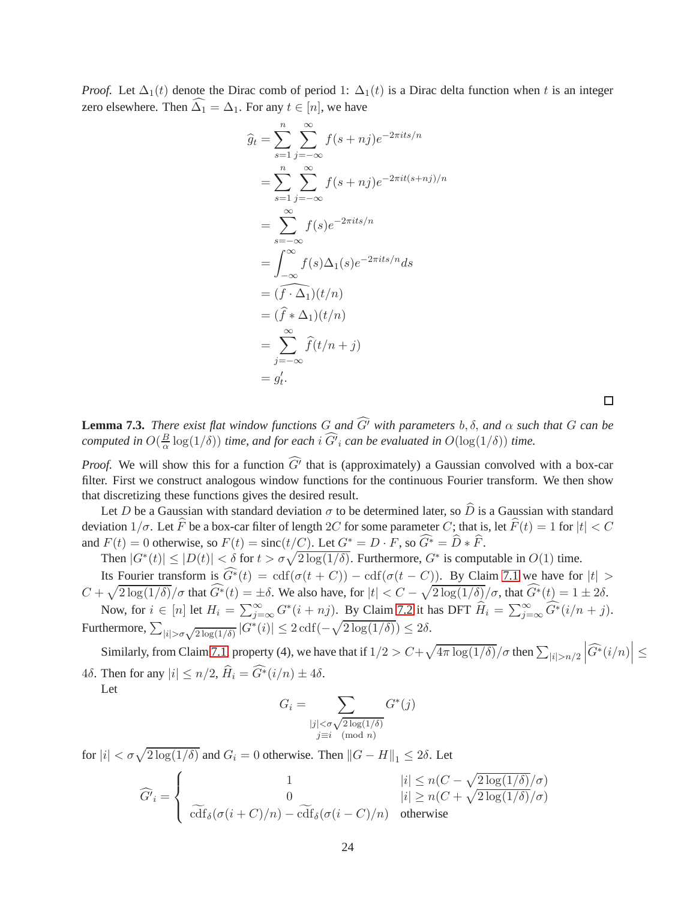*Proof.* Let  $\Delta_1(t)$  denote the Dirac comb of period 1:  $\Delta_1(t)$  is a Dirac delta function when t is an integer zero elsewhere. Then  $\widehat{\Delta_1} = \Delta_1$ . For any  $t \in [n]$ , we have

$$
\widehat{g}_t = \sum_{s=1}^n \sum_{j=-\infty}^{\infty} f(s+nj)e^{-2\pi its/n}
$$
  
\n
$$
= \sum_{s=1}^n \sum_{j=-\infty}^{\infty} f(s+nj)e^{-2\pi i t(s+nj)/n}
$$
  
\n
$$
= \sum_{s=-\infty}^{\infty} f(s)e^{-2\pi i ts/n}
$$
  
\n
$$
= \int_{-\infty}^{\infty} f(s)\Delta_1(s)e^{-2\pi i ts/n}ds
$$
  
\n
$$
= (\widehat{f} \cdot \Delta_1)(t/n)
$$
  
\n
$$
= (\widehat{f} \cdot \Delta_1)(t/n)
$$
  
\n
$$
= \sum_{j=-\infty}^{\infty} \widehat{f}(t/n + j)
$$
  
\n
$$
= g'_t.
$$

 $\Box$ 

**Lemma 7.3.** *There exist flat window functions*  $G$  *and*  $\widehat{G'}$  *with parameters*  $b, \delta$ *, and*  $\alpha$  *such that*  $G$  *can be computed in*  $O(\frac{B}{\alpha})$  $\frac{B}{\alpha}$  log(1/ $\delta$ )) *time, and for each* i  $G^{i}{}_{i}$  *can be evaluated in*  $O(\log(1/\delta))$  *time.* 

*Proof.* We will show this for a function  $G'$  that is (approximately) a Gaussian convolved with a box-car filter. First we construct analogous window functions for the continuous Fourier transform. We then show that discretizing these functions gives the desired result.

Let D be a Gaussian with standard deviation  $\sigma$  to be determined later, so  $\hat{D}$  is a Gaussian with standard deviation  $1/\sigma$ . Let  $\widehat{F}$  be a box-car filter of length 2C for some parameter C; that is, let  $\widehat{F}(t) = 1$  for  $|t| < C$ and  $F(t) = 0$  otherwise, so  $F(t) = \text{sinc}(t/C)$ . Let  $G^* = D \cdot F$ , so  $\widehat{G^*} = \widehat{D} * \widehat{F}$ .

Then  $|G^*(t)| \leq |D(t)| < \delta$  for  $t > \sigma \sqrt{2 \log(1/\delta)}$ . Furthermore,  $G^*$  is computable in  $O(1)$  time. Its Fourier transform is  $\widehat{G^*}(t) = \text{cdf}(\sigma(t+C)) - \text{cdf}(\sigma(t-C))$ . By Claim [7.1](#page-23-1) we have for  $|t| >$  $C + \sqrt{2 \log(1/\delta)}/\sigma$  that  $\widehat{G^*}(t) = \pm \delta$ . We also have, for  $|t| < C - \sqrt{2 \log(1/\delta)}/\sigma$ , that  $\widehat{G^*}(t) = 1 \pm 2\delta$ .

Now, for  $i \in [n]$  let  $H_i = \sum_{j=\infty}^{\infty} G^*(i+nj)$ . By Claim [7.2](#page-23-2) it has DFT  $\widehat{H}_i = \sum_{j=\infty}^{\infty} \widehat{G^*}(i/n+j)$ . Furthermore,  $\sum_{|i| > \sigma \sqrt{2 \log(1/\delta)}} |G^*(i)| \leq 2 \text{cdf}(-\sqrt{2 \log(1/\delta)}) \leq 2\delta.$ 

Similarly, from Claim [7.1,](#page-23-1) property (4), we have that if  $1/2 > C + \sqrt{4\pi \log(1/\delta)}/\sigma$  then  $\sum_{|i|>n/2}$  $\left|\widehat{G}^{*}(i/n)\right| \leq$ 4δ. Then for any  $|i| \le n/2$ ,  $\widehat{H}_i = \widehat{G}^*(i/n) \pm 4\delta$ .

Let

$$
G_i = \sum_{\substack{|j| < \sigma \sqrt{2\log(1/\delta)} \\ j \equiv i \pmod{n}} G^*(j)}
$$

for  $|i| < \sigma \sqrt{2 \log(1/\delta)}$  and  $G_i = 0$  otherwise. Then  $||G - H||_1 \le 2\delta$ . Let

$$
\widehat{G'}_i = \begin{cases}\n1 & |i| \le n(C - \sqrt{2\log(1/\delta)}/\sigma) \\
0 & |i| \ge n(C + \sqrt{2\log(1/\delta)}/\sigma) \\
\widetilde{\text{cdf}}_{\delta}(\sigma(i+C)/n) - \widetilde{\text{cdf}}_{\delta}(\sigma(i-C)/n) & \text{otherwise}\n\end{cases}
$$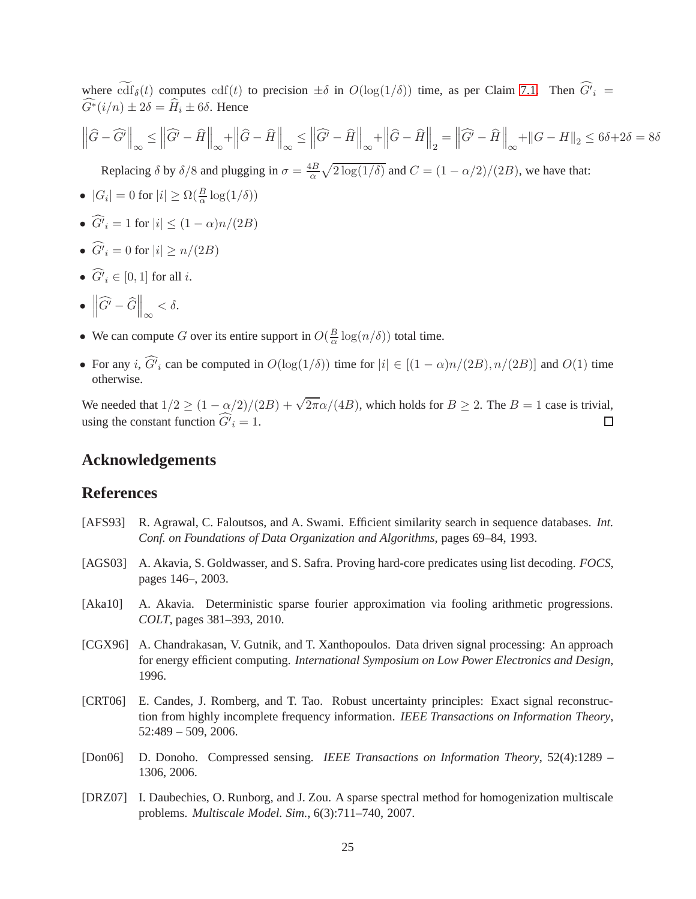where  $\text{cdf}_{\delta}(t)$  computes  $\text{cdf}(t)$  to precision  $\pm \delta$  in  $O(\log(1/\delta))$  time, as per Claim [7.1.](#page-23-1) Then  $G'_{i}$  =  $\widehat{G}^*(i/n) \pm 2\delta = \widehat{H}_i \pm 6\delta$ . Hence

$$
\left\|\widehat{G} - \widehat{G}'\right\|_{\infty} \le \left\|\widehat{G}' - \widehat{H}\right\|_{\infty} + \left\|\widehat{G} - \widehat{H}\right\|_{\infty} \le \left\|\widehat{G}' - \widehat{H}\right\|_{\infty} + \left\|\widehat{G} - \widehat{H}\right\|_{2} = \left\|\widehat{G}' - \widehat{H}\right\|_{\infty} + \left\|G - H\right\|_{2} \le 6\delta + 2\delta = 8\delta
$$

Replacing  $\delta$  by  $\delta/8$  and plugging in  $\sigma = \frac{4B}{\alpha}$  $\frac{dB}{\alpha}\sqrt{2\log(1/\delta)}$  and  $C = (1 - \alpha/2)/(2B)$ , we have that:

- $|G_i| = 0$  for  $|i| \ge \Omega(\frac{B}{\alpha} \log(1/\delta))$
- $G'_{i} = 1$  for  $|i| \leq (1 \alpha)n/(2B)$
- $G'_{i} = 0$  for  $|i| \ge n/(2B)$
- $G'_{i} \in [0, 1]$  for all *i*.

$$
\bullet \ \left\|\widehat{G'} - \widehat{G}\right\|_{\infty} < \delta.
$$

- We can compute G over its entire support in  $O(\frac{B}{\alpha})$  $\frac{B}{\alpha} \log(n/\delta)$  total time.
- For any *i*,  $G_i$  can be computed in  $O(\log(1/\delta))$  time for  $|i| \in [(1 \alpha)n/(2B), n/(2B)]$  and  $O(1)$  time otherwise.

We needed that  $1/2 \ge (1 - \alpha/2)/(2B) + \sqrt{2\pi}\alpha/(4B)$ , which holds for  $B \ge 2$ . The  $B = 1$  case is trivial, using the constant function  $G'_{i} = 1$ .  $\Box$ 

## **Acknowledgements**

## **References**

- <span id="page-25-4"></span>[AFS93] R. Agrawal, C. Faloutsos, and A. Swami. Efficient similarity search in sequence databases. *Int. Conf. on Foundations of Data Organization and Algorithms*, pages 69–84, 1993.
- <span id="page-25-5"></span>[AGS03] A. Akavia, S. Goldwasser, and S. Safra. Proving hard-core predicates using list decoding. *FOCS*, pages 146–, 2003.
- <span id="page-25-6"></span>[Aka10] A. Akavia. Deterministic sparse fourier approximation via fooling arithmetic progressions. *COLT*, pages 381–393, 2010.
- <span id="page-25-0"></span>[CGX96] A. Chandrakasan, V. Gutnik, and T. Xanthopoulos. Data driven signal processing: An approach for energy efficient computing. *International Symposium on Low Power Electronics and Design*, 1996.
- <span id="page-25-3"></span>[CRT06] E. Candes, J. Romberg, and T. Tao. Robust uncertainty principles: Exact signal reconstruction from highly incomplete frequency information. *IEEE Transactions on Information Theory*, 52:489 – 509, 2006.
- <span id="page-25-2"></span>[Don06] D. Donoho. Compressed sensing. *IEEE Transactions on Information Theory*, 52(4):1289 – 1306, 2006.
- <span id="page-25-1"></span>[DRZ07] I. Daubechies, O. Runborg, and J. Zou. A sparse spectral method for homogenization multiscale problems. *Multiscale Model. Sim.*, 6(3):711–740, 2007.